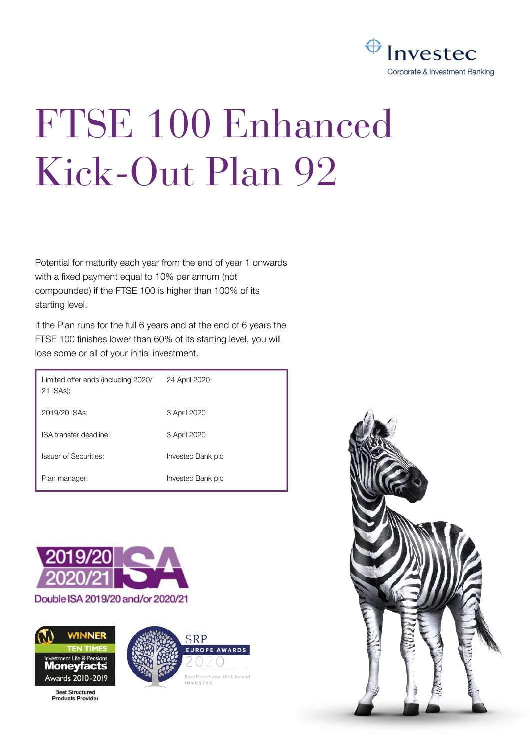

# FTSE 100 Enhanced Kick-Out Plan 92

Potential for maturity each year from the end of year 1 onwards with a fixed payment equal to 10% per annum (not compounded) if the FTSE 100 is higher than 100% of its starting level.

If the Plan runs for the full 6 years and at the end of 6 years the FTSE 100 finishes lower than 60% of its starting level, you will lose some or all of your initial investment.

| Limited offer ends (including 2020/<br>21 ISAs): | 24 April 2020     |
|--------------------------------------------------|-------------------|
| 2019/20 ISAs:                                    | 3 April 2020      |
| ISA transfer deadline:                           | 3 April 2020      |
| Issuer of Securities:                            | Investec Bank plc |
| Plan manager:                                    | Investec Bank plc |





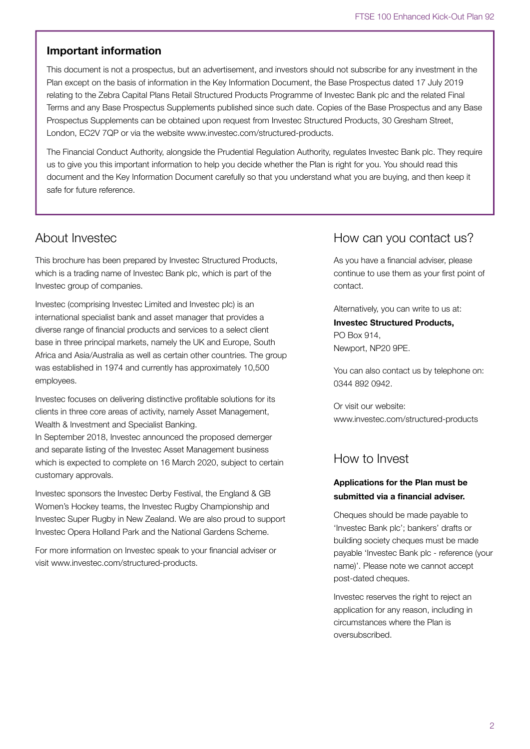# **Important information**

This document is not a prospectus, but an advertisement, and investors should not subscribe for any investment in the Plan except on the basis of information in the Key Information Document, the Base Prospectus dated 17 July 2019 relating to the Zebra Capital Plans Retail Structured Products Programme of Investec Bank plc and the related Final Terms and any Base Prospectus Supplements published since such date. Copies of the Base Prospectus and any Base Prospectus Supplements can be obtained upon request from Investec Structured Products, 30 Gresham Street, London, EC2V 7QP or via the website www.investec.com/structured-products.

The Financial Conduct Authority, alongside the Prudential Regulation Authority, regulates Investec Bank plc. They require us to give you this important information to help you decide whether the Plan is right for you. You should read this document and the Key Information Document carefully so that you understand what you are buying, and then keep it safe for future reference.

# About Investec

This brochure has been prepared by Investec Structured Products, which is a trading name of Investec Bank plc, which is part of the Investec group of companies.

Investec (comprising Investec Limited and Investec plc) is an international specialist bank and asset manager that provides a diverse range of financial products and services to a select client base in three principal markets, namely the UK and Europe, South Africa and Asia/Australia as well as certain other countries. The group was established in 1974 and currently has approximately 10,500 employees.

Investec focuses on delivering distinctive profitable solutions for its clients in three core areas of activity, namely Asset Management, Wealth & Investment and Specialist Banking. In September 2018, Investec announced the proposed demerger and separate listing of the Investec Asset Management business

which is expected to complete on 16 March 2020, subject to certain customary approvals.

Investec sponsors the Investec Derby Festival, the England & GB Women's Hockey teams, the Investec Rugby Championship and Investec Super Rugby in New Zealand. We are also proud to support Investec Opera Holland Park and the National Gardens Scheme.

For more information on Investec speak to your financial adviser or visit www.investec.com/structured-products.

# How can you contact us?

As you have a financial adviser, please continue to use them as your first point of contact.

Alternatively, you can write to us at:

# **Investec Structured Products,** PO Box 914, Newport, NP20 9PE.

You can also contact us by telephone on: 0344 892 0942.

Or visit our website: www.investec.com/structured-products

# How to Invest

# **Applications for the Plan must be submitted via a financial adviser.**

Cheques should be made payable to 'Investec Bank plc'; bankers' drafts or building society cheques must be made payable 'Investec Bank plc - reference (your name)'. Please note we cannot accept post-dated cheques.

Investec reserves the right to reject an application for any reason, including in circumstances where the Plan is oversubscribed.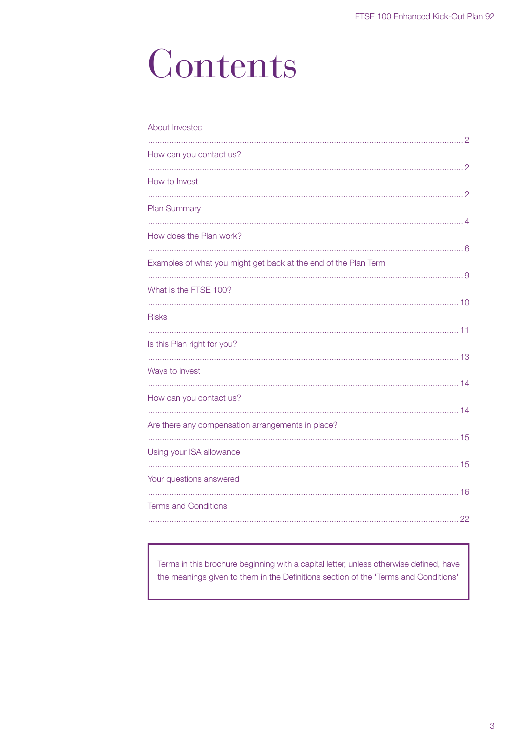# Contents

| About Invested                                                  |
|-----------------------------------------------------------------|
| How can you contact us?                                         |
| How to Invest                                                   |
| <b>Plan Summary</b>                                             |
|                                                                 |
| How does the Plan work?                                         |
| Examples of what you might get back at the end of the Plan Term |
| What is the FTSE 100?                                           |
| <b>Risks</b>                                                    |
| Is this Plan right for you?                                     |
| Ways to invest                                                  |
|                                                                 |
| How can you contact us?                                         |
| Are there any compensation arrangements in place?               |
| Using your ISA allowance                                        |
| Your questions answered                                         |
| <b>Terms and Conditions</b>                                     |
|                                                                 |

Terms in this brochure beginning with a capital letter, unless otherwise defined, have the meanings given to them in the Definitions section of the 'Terms and Conditions'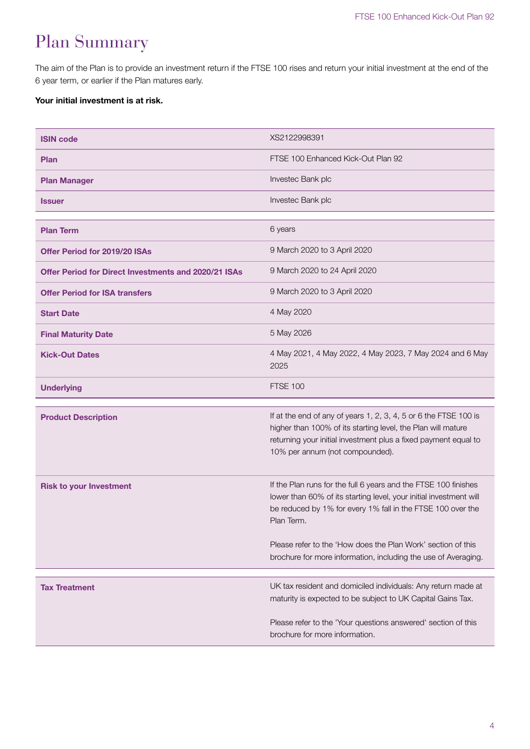# Plan Summary

The aim of the Plan is to provide an investment return if the FTSE 100 rises and return your initial investment at the end of the 6 year term, or earlier if the Plan matures early.

# **Your initial investment is at risk.**

| <b>ISIN code</b>                                            | XS2122998391                                                                                                                                                                                                                                                                       |
|-------------------------------------------------------------|------------------------------------------------------------------------------------------------------------------------------------------------------------------------------------------------------------------------------------------------------------------------------------|
| <b>Plan</b>                                                 | FTSE 100 Enhanced Kick-Out Plan 92                                                                                                                                                                                                                                                 |
| <b>Plan Manager</b>                                         | Investec Bank plc                                                                                                                                                                                                                                                                  |
| <b>Issuer</b>                                               | Investec Bank plc                                                                                                                                                                                                                                                                  |
| <b>Plan Term</b>                                            | 6 years                                                                                                                                                                                                                                                                            |
| <b>Offer Period for 2019/20 ISAs</b>                        | 9 March 2020 to 3 April 2020                                                                                                                                                                                                                                                       |
| <b>Offer Period for Direct Investments and 2020/21 ISAs</b> | 9 March 2020 to 24 April 2020                                                                                                                                                                                                                                                      |
| <b>Offer Period for ISA transfers</b>                       | 9 March 2020 to 3 April 2020                                                                                                                                                                                                                                                       |
| <b>Start Date</b>                                           | 4 May 2020                                                                                                                                                                                                                                                                         |
| <b>Final Maturity Date</b>                                  | 5 May 2026                                                                                                                                                                                                                                                                         |
| <b>Kick-Out Dates</b>                                       | 4 May 2021, 4 May 2022, 4 May 2023, 7 May 2024 and 6 May<br>2025                                                                                                                                                                                                                   |
| <b>Underlying</b>                                           | <b>FTSE 100</b>                                                                                                                                                                                                                                                                    |
| <b>Product Description</b>                                  | If at the end of any of years 1, 2, 3, 4, 5 or 6 the FTSE 100 is<br>higher than 100% of its starting level, the Plan will mature<br>returning your initial investment plus a fixed payment equal to<br>10% per annum (not compounded).                                             |
| <b>Risk to your Investment</b>                              | If the Plan runs for the full 6 years and the FTSE 100 finishes<br>lower than 60% of its starting level, your initial investment will<br>be reduced by 1% for every 1% fall in the FTSE 100 over the<br>Plan Term.<br>Please refer to the 'How does the Plan Work' section of this |
|                                                             | brochure for more information, including the use of Averaging.                                                                                                                                                                                                                     |
| <b>Tax Treatment</b>                                        | UK tax resident and domiciled individuals: Any return made at<br>maturity is expected to be subject to UK Capital Gains Tax.                                                                                                                                                       |
|                                                             | Please refer to the 'Your questions answered' section of this                                                                                                                                                                                                                      |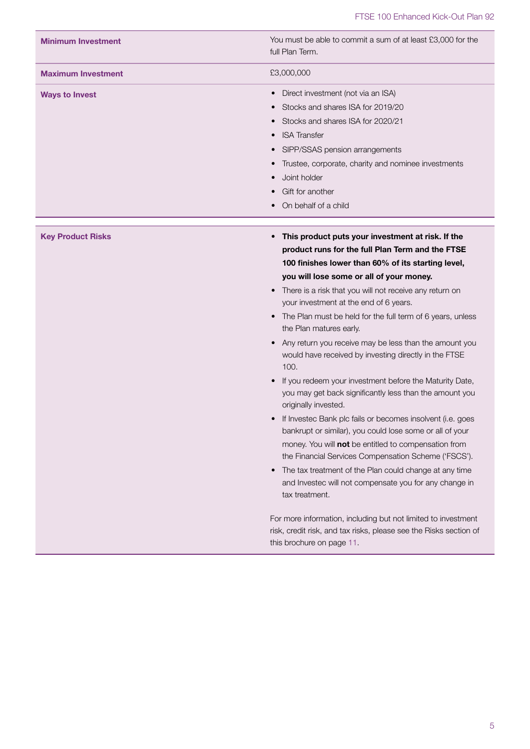| <b>Minimum Investment</b> | You must be able to commit a sum of at least £3,000 for the<br>full Plan Term.                                                                                                                                                                                                                                                                                                                                                                                                                                                                                                                                                                                                                                                                                                                                                                                                                                                                                                                                                                                                                                                                                                                                                    |
|---------------------------|-----------------------------------------------------------------------------------------------------------------------------------------------------------------------------------------------------------------------------------------------------------------------------------------------------------------------------------------------------------------------------------------------------------------------------------------------------------------------------------------------------------------------------------------------------------------------------------------------------------------------------------------------------------------------------------------------------------------------------------------------------------------------------------------------------------------------------------------------------------------------------------------------------------------------------------------------------------------------------------------------------------------------------------------------------------------------------------------------------------------------------------------------------------------------------------------------------------------------------------|
| <b>Maximum Investment</b> | £3,000,000                                                                                                                                                                                                                                                                                                                                                                                                                                                                                                                                                                                                                                                                                                                                                                                                                                                                                                                                                                                                                                                                                                                                                                                                                        |
| <b>Ways to Invest</b>     | Direct investment (not via an ISA)<br>Stocks and shares ISA for 2019/20<br>Stocks and shares ISA for 2020/21<br><b>ISA Transfer</b><br>SIPP/SSAS pension arrangements<br>Trustee, corporate, charity and nominee investments<br>Joint holder<br>Gift for another<br>On behalf of a child                                                                                                                                                                                                                                                                                                                                                                                                                                                                                                                                                                                                                                                                                                                                                                                                                                                                                                                                          |
| <b>Key Product Risks</b>  | This product puts your investment at risk. If the<br>product runs for the full Plan Term and the FTSE<br>100 finishes lower than 60% of its starting level,<br>you will lose some or all of your money.<br>There is a risk that you will not receive any return on<br>your investment at the end of 6 years.<br>The Plan must be held for the full term of 6 years, unless<br>the Plan matures early.<br>Any return you receive may be less than the amount you<br>would have received by investing directly in the FTSE<br>100.<br>If you redeem your investment before the Maturity Date,<br>you may get back significantly less than the amount you<br>originally invested.<br>If Investec Bank plc fails or becomes insolvent (i.e. goes<br>bankrupt or similar), you could lose some or all of your<br>money. You will not be entitled to compensation from<br>the Financial Services Compensation Scheme ('FSCS').<br>The tax treatment of the Plan could change at any time<br>and Investec will not compensate you for any change in<br>tax treatment.<br>For more information, including but not limited to investment<br>risk, credit risk, and tax risks, please see the Risks section of<br>this brochure on page 11. |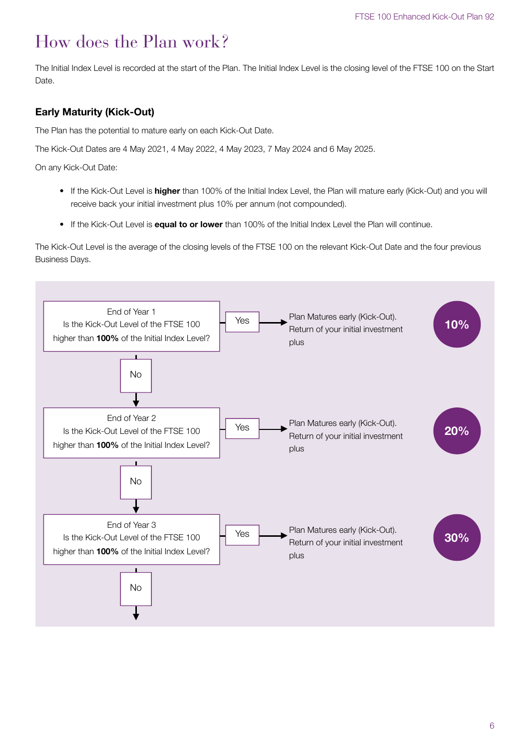# How does the Plan work?

The Initial Index Level is recorded at the start of the Plan. The Initial Index Level is the closing level of the FTSE 100 on the Start Date.

# **Early Maturity (Kick-Out)**

The Plan has the potential to mature early on each Kick-Out Date.

The Kick-Out Dates are 4 May 2021, 4 May 2022, 4 May 2023, 7 May 2024 and 6 May 2025.

On any Kick-Out Date:

- If the Kick-Out Level is **higher** than 100% of the Initial Index Level, the Plan will mature early (Kick-Out) and you will receive back your initial investment plus 10% per annum (not compounded).
- If the Kick-Out Level is **equal to or lower** than 100% of the Initial Index Level the Plan will continue.

The Kick-Out Level is the average of the closing levels of the FTSE 100 on the relevant Kick-Out Date and the four previous Business Days.

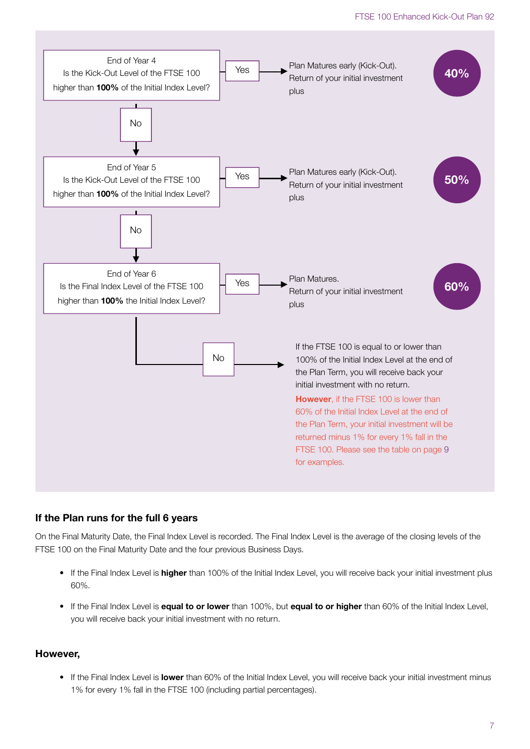![](_page_6_Figure_1.jpeg)

# **If the Plan runs for the full 6 years**

On the Final Maturity Date, the Final Index Level is recorded. The Final Index Level is the average of the closing levels of the FTSE 100 on the Final Maturity Date and the four previous Business Days.

- If the Final Index Level is **higher** than 100% of the Initial Index Level, you will receive back your initial investment plus 60%.
- If the Final Index Level is **equal to or lower** than 100%, but **equal to or higher** than 60% of the Initial Index Level, you will receive back your initial investment with no return.

## **However,**

• If the Final Index Level is **lower** than 60% of the Initial Index Level, you will receive back your initial investment minus 1% for every 1% fall in the FTSE 100 (including partial percentages).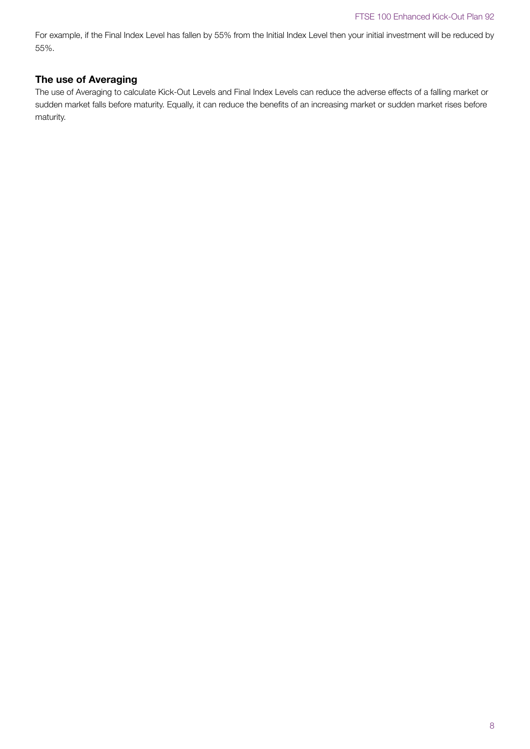For example, if the Final Index Level has fallen by 55% from the Initial Index Level then your initial investment will be reduced by 55%.

# **The use of Averaging**

The use of Averaging to calculate Kick-Out Levels and Final Index Levels can reduce the adverse effects of a falling market or sudden market falls before maturity. Equally, it can reduce the benefits of an increasing market or sudden market rises before maturity.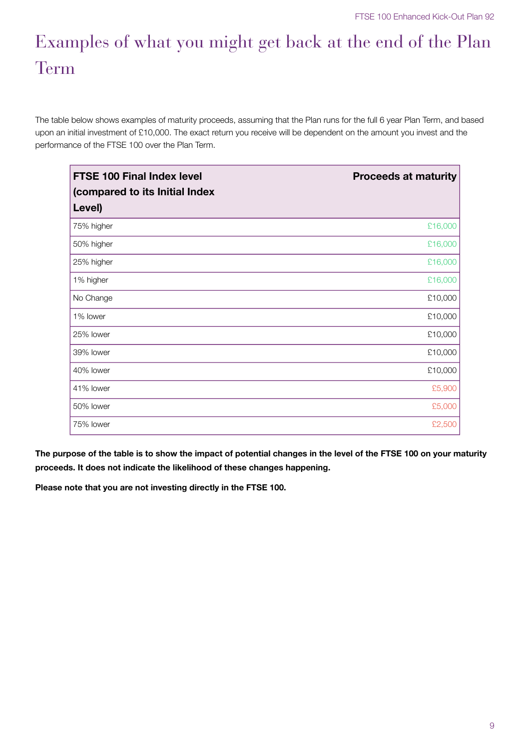# Examples of what you might get back at the end of the Plan Term

The table below shows examples of maturity proceeds, assuming that the Plan runs for the full 6 year Plan Term, and based upon an initial investment of £10,000. The exact return you receive will be dependent on the amount you invest and the performance of the FTSE 100 over the Plan Term.

| <b>FTSE 100 Final Index level</b><br>(compared to its Initial Index | <b>Proceeds at maturity</b> |
|---------------------------------------------------------------------|-----------------------------|
| Level)                                                              |                             |
| 75% higher                                                          | £16,000                     |
| 50% higher                                                          | £16,000                     |
| 25% higher                                                          | £16,000                     |
| 1% higher                                                           | £16,000                     |
| No Change                                                           | £10,000                     |
| 1% lower                                                            | £10,000                     |
| 25% lower                                                           | £10,000                     |
| 39% lower                                                           | £10,000                     |
| 40% lower                                                           | £10,000                     |
| 41% lower                                                           | £5,900                      |
| 50% lower                                                           | £5,000                      |
| 75% lower                                                           | £2,500                      |

**The purpose of the table is to show the impact of potential changes in the level of the FTSE 100 on your maturity proceeds. It does not indicate the likelihood of these changes happening.**

**Please note that you are not investing directly in the FTSE 100.**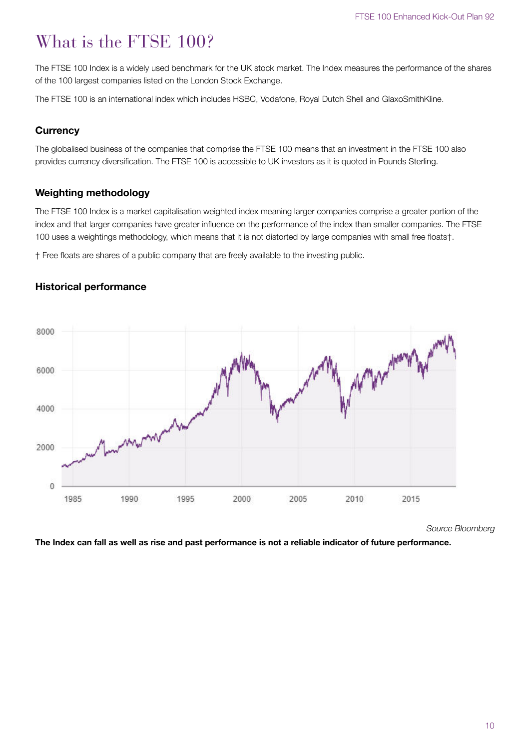# What is the FTSE 100?

The FTSE 100 Index is a widely used benchmark for the UK stock market. The Index measures the performance of the shares of the 100 largest companies listed on the London Stock Exchange.

The FTSE 100 is an international index which includes HSBC, Vodafone, Royal Dutch Shell and GlaxoSmithKline.

# **Currency**

The globalised business of the companies that comprise the FTSE 100 means that an investment in the FTSE 100 also provides currency diversification. The FTSE 100 is accessible to UK investors as it is quoted in Pounds Sterling.

# **Weighting methodology**

The FTSE 100 Index is a market capitalisation weighted index meaning larger companies comprise a greater portion of the index and that larger companies have greater influence on the performance of the index than smaller companies. The FTSE 100 uses a weightings methodology, which means that it is not distorted by large companies with small free floats†.

† Free floats are shares of a public company that are freely available to the investing public.

![](_page_9_Figure_9.jpeg)

# **Historical performance**

Source Bloomberg

**The Index can fall as well as rise and past performance is not a reliable indicator of future performance.**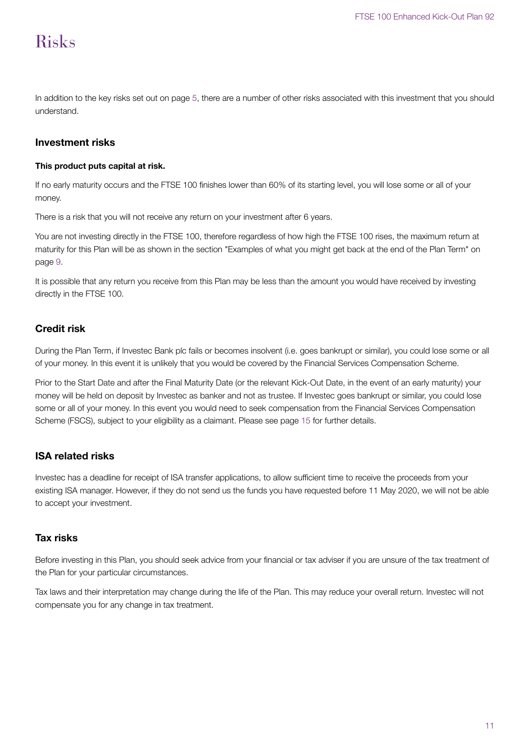# Risks

In addition to the key risks set out on page 5, there are a number of other risks associated with this investment that you should understand.

# **Investment risks**

#### **This product puts capital at risk.**

If no early maturity occurs and the FTSE 100 finishes lower than 60% of its starting level, you will lose some or all of your money.

There is a risk that you will not receive any return on your investment after 6 years.

You are not investing directly in the FTSE 100, therefore regardless of how high the FTSE 100 rises, the maximum return at maturity for this Plan will be as shown in the section "Examples of what you might get back at the end of the Plan Term" on page 9.

It is possible that any return you receive from this Plan may be less than the amount you would have received by investing directly in the FTSE 100.

# **Credit risk**

During the Plan Term, if Investec Bank plc fails or becomes insolvent (i.e. goes bankrupt or similar), you could lose some or all of your money. In this event it is unlikely that you would be covered by the Financial Services Compensation Scheme.

Prior to the Start Date and after the Final Maturity Date (or the relevant Kick-Out Date, in the event of an early maturity) your money will be held on deposit by Investec as banker and not as trustee. If Investec goes bankrupt or similar, you could lose some or all of your money. In this event you would need to seek compensation from the Financial Services Compensation Scheme (FSCS), subject to your eligibility as a claimant. Please see page 15 for further details.

# **ISA related risks**

Investec has a deadline for receipt of ISA transfer applications, to allow sufficient time to receive the proceeds from your existing ISA manager. However, if they do not send us the funds you have requested before 11 May 2020, we will not be able to accept your investment.

# **Tax risks**

Before investing in this Plan, you should seek advice from your financial or tax adviser if you are unsure of the tax treatment of the Plan for your particular circumstances.

Tax laws and their interpretation may change during the life of the Plan. This may reduce your overall return. Investec will not compensate you for any change in tax treatment.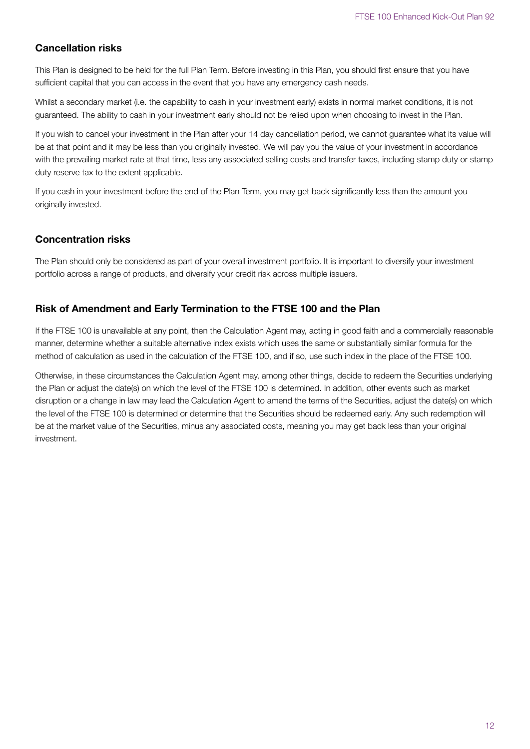# **Cancellation risks**

This Plan is designed to be held for the full Plan Term. Before investing in this Plan, you should first ensure that you have sufficient capital that you can access in the event that you have any emergency cash needs.

Whilst a secondary market (i.e. the capability to cash in your investment early) exists in normal market conditions, it is not guaranteed. The ability to cash in your investment early should not be relied upon when choosing to invest in the Plan.

If you wish to cancel your investment in the Plan after your 14 day cancellation period, we cannot guarantee what its value will be at that point and it may be less than you originally invested. We will pay you the value of your investment in accordance with the prevailing market rate at that time, less any associated selling costs and transfer taxes, including stamp duty or stamp duty reserve tax to the extent applicable.

If you cash in your investment before the end of the Plan Term, you may get back significantly less than the amount you originally invested.

# **Concentration risks**

The Plan should only be considered as part of your overall investment portfolio. It is important to diversify your investment portfolio across a range of products, and diversify your credit risk across multiple issuers.

# **Risk of Amendment and Early Termination to the FTSE 100 and the Plan**

If the FTSE 100 is unavailable at any point, then the Calculation Agent may, acting in good faith and a commercially reasonable manner, determine whether a suitable alternative index exists which uses the same or substantially similar formula for the method of calculation as used in the calculation of the FTSE 100, and if so, use such index in the place of the FTSE 100.

Otherwise, in these circumstances the Calculation Agent may, among other things, decide to redeem the Securities underlying the Plan or adjust the date(s) on which the level of the FTSE 100 is determined. In addition, other events such as market disruption or a change in law may lead the Calculation Agent to amend the terms of the Securities, adjust the date(s) on which the level of the FTSE 100 is determined or determine that the Securities should be redeemed early. Any such redemption will be at the market value of the Securities, minus any associated costs, meaning you may get back less than your original investment.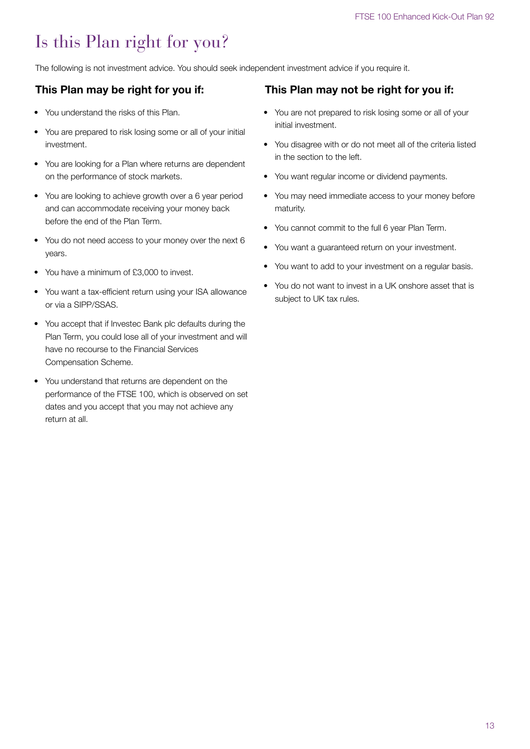# Is this Plan right for you?

The following is not investment advice. You should seek independent investment advice if you require it.

# **This Plan may be right for you if:**

- You understand the risks of this Plan.
- You are prepared to risk losing some or all of your initial investment.
- You are looking for a Plan where returns are dependent on the performance of stock markets.
- You are looking to achieve growth over a 6 year period and can accommodate receiving your money back before the end of the Plan Term.
- You do not need access to your money over the next 6 years.
- You have a minimum of £3,000 to invest.
- You want a tax-efficient return using your ISA allowance or via a SIPP/SSAS.
- You accept that if Investec Bank plc defaults during the Plan Term, you could lose all of your investment and will have no recourse to the Financial Services Compensation Scheme.
- You understand that returns are dependent on the performance of the FTSE 100, which is observed on set dates and you accept that you may not achieve any return at all.

# **This Plan may not be right for you if:**

- You are not prepared to risk losing some or all of your initial investment.
- You disagree with or do not meet all of the criteria listed in the section to the left.
- You want regular income or dividend payments.
- You may need immediate access to your money before maturity.
- You cannot commit to the full 6 year Plan Term.
- You want a guaranteed return on your investment.
- You want to add to your investment on a regular basis.
- You do not want to invest in a UK onshore asset that is subject to UK tax rules.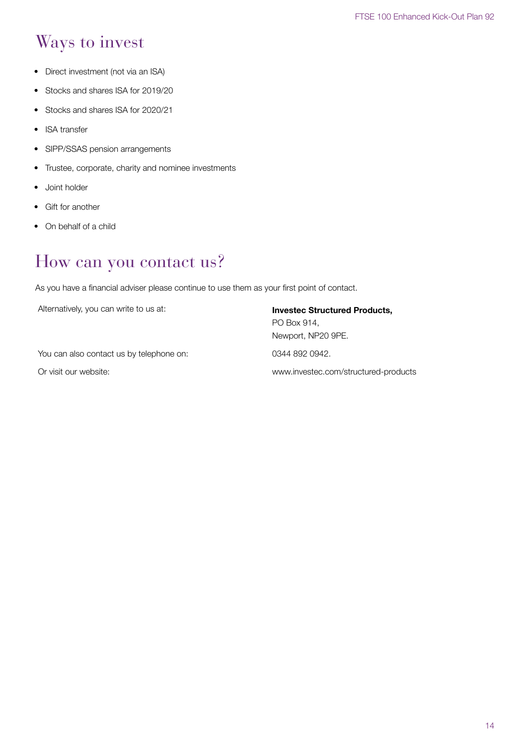# Ways to invest

- Direct investment (not via an ISA)
- Stocks and shares ISA for 2019/20
- Stocks and shares ISA for 2020/21
- **ISA** transfer
- SIPP/SSAS pension arrangements
- Trustee, corporate, charity and nominee investments
- Joint holder
- Gift for another
- On behalf of a child

# How can you contact us?

As you have a financial adviser please continue to use them as your first point of contact.

Alternatively, you can write to us at: **Invested Structured Products,** 

PO Box 914, Newport, NP20 9PE.

You can also contact us by telephone on: 0344 892 0942.

Or visit our website: www.investec.com/structured-products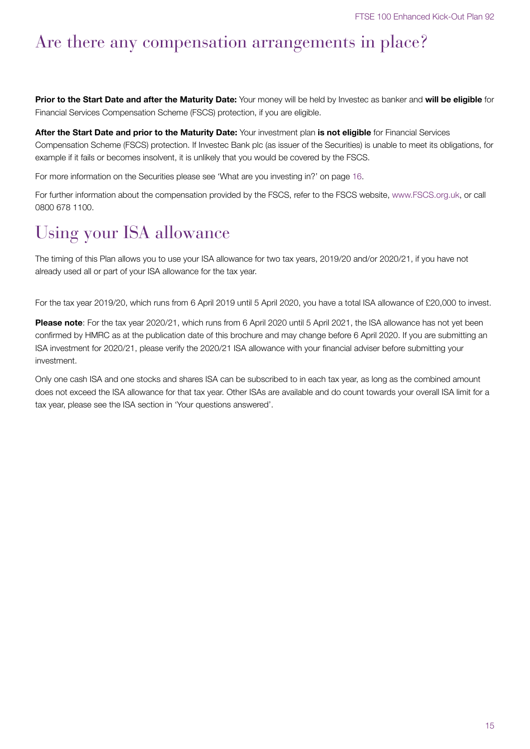# Are there any compensation arrangements in place?

**Prior to the Start Date and after the Maturity Date:** Your money will be held by Investec as banker and **will be eligible** for Financial Services Compensation Scheme (FSCS) protection, if you are eligible.

**After the Start Date and prior to the Maturity Date:** Your investment plan **is not eligible** for Financial Services Compensation Scheme (FSCS) protection. If Investec Bank plc (as issuer of the Securities) is unable to meet its obligations, for example if it fails or becomes insolvent, it is unlikely that you would be covered by the FSCS.

For more information on the Securities please see 'What are you investing in?' on page 16.

For further information about the compensation provided by the FSCS, refer to the FSCS website, www.FSCS.org.uk, or call 0800 678 1100.

# Using your ISA allowance

The timing of this Plan allows you to use your ISA allowance for two tax years, 2019/20 and/or 2020/21, if you have not already used all or part of your ISA allowance for the tax year.

For the tax year 2019/20, which runs from 6 April 2019 until 5 April 2020, you have a total ISA allowance of £20,000 to invest.

**Please note**: For the tax year 2020/21, which runs from 6 April 2020 until 5 April 2021, the ISA allowance has not yet been confirmed by HMRC as at the publication date of this brochure and may change before 6 April 2020. If you are submitting an ISA investment for 2020/21, please verify the 2020/21 ISA allowance with your financial adviser before submitting your investment.

Only one cash ISA and one stocks and shares ISA can be subscribed to in each tax year, as long as the combined amount does not exceed the ISA allowance for that tax year. Other ISAs are available and do count towards your overall ISA limit for a tax year, please see the ISA section in 'Your questions answered'.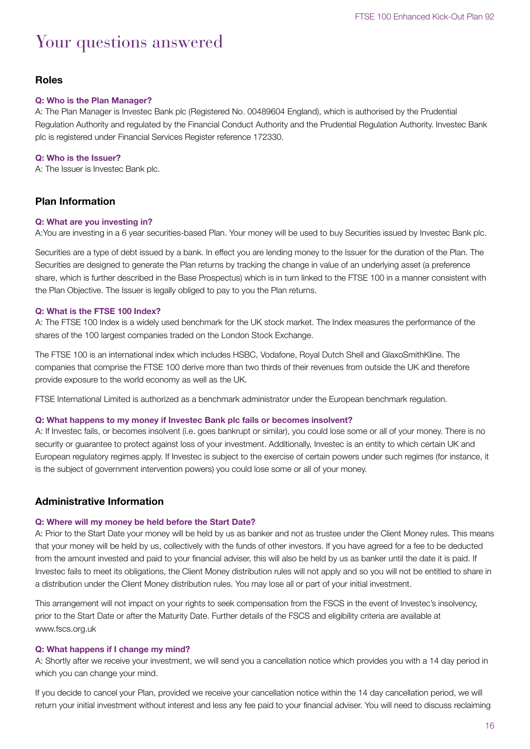# Your questions answered

# **Roles**

#### **Q: Who is the Plan Manager?**

A: The Plan Manager is Investec Bank plc (Registered No. 00489604 England), which is authorised by the Prudential Regulation Authority and regulated by the Financial Conduct Authority and the Prudential Regulation Authority. Investec Bank plc is registered under Financial Services Register reference 172330.

#### **Q: Who is the Issuer?**

A: The Issuer is Investec Bank plc.

# **Plan Information**

#### **Q: What are you investing in?**

A:You are investing in a 6 year securities-based Plan. Your money will be used to buy Securities issued by Investec Bank plc.

Securities are a type of debt issued by a bank. In effect you are lending money to the Issuer for the duration of the Plan. The Securities are designed to generate the Plan returns by tracking the change in value of an underlying asset (a preference share, which is further described in the Base Prospectus) which is in turn linked to the FTSE 100 in a manner consistent with the Plan Objective. The Issuer is legally obliged to pay to you the Plan returns.

#### **Q: What is the FTSE 100 Index?**

A: The FTSE 100 Index is a widely used benchmark for the UK stock market. The Index measures the performance of the shares of the 100 largest companies traded on the London Stock Exchange.

The FTSE 100 is an international index which includes HSBC, Vodafone, Royal Dutch Shell and GlaxoSmithKline. The companies that comprise the FTSE 100 derive more than two thirds of their revenues from outside the UK and therefore provide exposure to the world economy as well as the UK.

FTSE International Limited is authorized as a benchmark administrator under the European benchmark regulation.

#### **Q: What happens to my money if Investec Bank plc fails or becomes insolvent?**

A: If Investec fails, or becomes insolvent (i.e. goes bankrupt or similar), you could lose some or all of your money. There is no security or guarantee to protect against loss of your investment. Additionally, Investec is an entity to which certain UK and European regulatory regimes apply. If Investec is subject to the exercise of certain powers under such regimes (for instance, it is the subject of government intervention powers) you could lose some or all of your money.

# **Administrative Information**

#### **Q: Where will my money be held before the Start Date?**

A: Prior to the Start Date your money will be held by us as banker and not as trustee under the Client Money rules. This means that your money will be held by us, collectively with the funds of other investors. If you have agreed for a fee to be deducted from the amount invested and paid to your financial adviser, this will also be held by us as banker until the date it is paid. If Investec fails to meet its obligations, the Client Money distribution rules will not apply and so you will not be entitled to share in a distribution under the Client Money distribution rules. You may lose all or part of your initial investment.

This arrangement will not impact on your rights to seek compensation from the FSCS in the event of Investec's insolvency, prior to the Start Date or after the Maturity Date. Further details of the FSCS and eligibility criteria are available at www.fscs.org.uk

#### **Q: What happens if I change my mind?**

A: Shortly after we receive your investment, we will send you a cancellation notice which provides you with a 14 day period in which you can change your mind.

If you decide to cancel your Plan, provided we receive your cancellation notice within the 14 day cancellation period, we will return your initial investment without interest and less any fee paid to your financial adviser. You will need to discuss reclaiming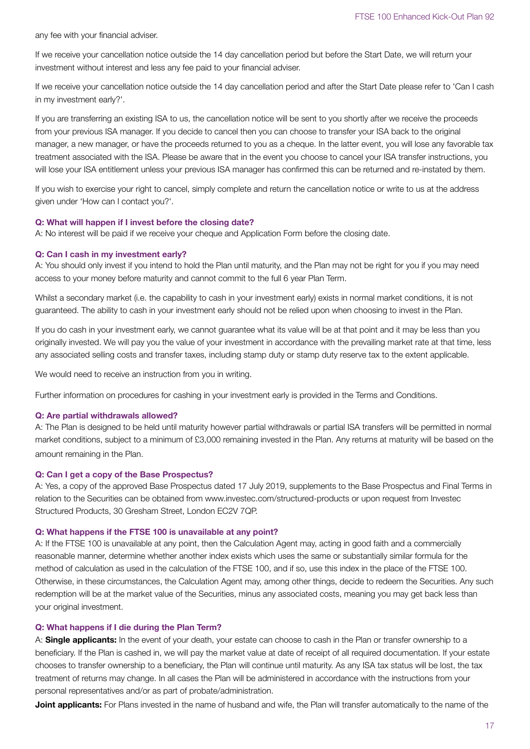any fee with your financial adviser.

If we receive your cancellation notice outside the 14 day cancellation period but before the Start Date, we will return your investment without interest and less any fee paid to your financial adviser.

If we receive your cancellation notice outside the 14 day cancellation period and after the Start Date please refer to 'Can I cash in my investment early?'.

If you are transferring an existing ISA to us, the cancellation notice will be sent to you shortly after we receive the proceeds from your previous ISA manager. If you decide to cancel then you can choose to transfer your ISA back to the original manager, a new manager, or have the proceeds returned to you as a cheque. In the latter event, you will lose any favorable tax treatment associated with the ISA. Please be aware that in the event you choose to cancel your ISA transfer instructions, you will lose your ISA entitlement unless your previous ISA manager has confirmed this can be returned and re-instated by them.

If you wish to exercise your right to cancel, simply complete and return the cancellation notice or write to us at the address given under 'How can I contact you?'.

#### **Q: What will happen if I invest before the closing date?**

A: No interest will be paid if we receive your cheque and Application Form before the closing date.

#### **Q: Can I cash in my investment early?**

A: You should only invest if you intend to hold the Plan until maturity, and the Plan may not be right for you if you may need access to your money before maturity and cannot commit to the full 6 year Plan Term.

Whilst a secondary market (i.e. the capability to cash in your investment early) exists in normal market conditions, it is not guaranteed. The ability to cash in your investment early should not be relied upon when choosing to invest in the Plan.

If you do cash in your investment early, we cannot guarantee what its value will be at that point and it may be less than you originally invested. We will pay you the value of your investment in accordance with the prevailing market rate at that time, less any associated selling costs and transfer taxes, including stamp duty or stamp duty reserve tax to the extent applicable.

We would need to receive an instruction from you in writing.

Further information on procedures for cashing in your investment early is provided in the Terms and Conditions.

#### **Q: Are partial withdrawals allowed?**

A: The Plan is designed to be held until maturity however partial withdrawals or partial ISA transfers will be permitted in normal market conditions, subject to a minimum of £3,000 remaining invested in the Plan. Any returns at maturity will be based on the amount remaining in the Plan.

#### **Q: Can I get a copy of the Base Prospectus?**

A: Yes, a copy of the approved Base Prospectus dated 17 July 2019, supplements to the Base Prospectus and Final Terms in relation to the Securities can be obtained from www.investec.com/structured-products or upon request from Investec Structured Products, 30 Gresham Street, London EC2V 7QP.

#### **Q: What happens if the FTSE 100 is unavailable at any point?**

A: If the FTSE 100 is unavailable at any point, then the Calculation Agent may, acting in good faith and a commercially reasonable manner, determine whether another index exists which uses the same or substantially similar formula for the method of calculation as used in the calculation of the FTSE 100, and if so, use this index in the place of the FTSE 100. Otherwise, in these circumstances, the Calculation Agent may, among other things, decide to redeem the Securities. Any such redemption will be at the market value of the Securities, minus any associated costs, meaning you may get back less than your original investment.

#### **Q: What happens if I die during the Plan Term?**

A: **Single applicants:** In the event of your death, your estate can choose to cash in the Plan or transfer ownership to a beneficiary. If the Plan is cashed in, we will pay the market value at date of receipt of all required documentation. If your estate chooses to transfer ownership to a beneficiary, the Plan will continue until maturity. As any ISA tax status will be lost, the tax treatment of returns may change. In all cases the Plan will be administered in accordance with the instructions from your personal representatives and/or as part of probate/administration.

**Joint applicants:** For Plans invested in the name of husband and wife, the Plan will transfer automatically to the name of the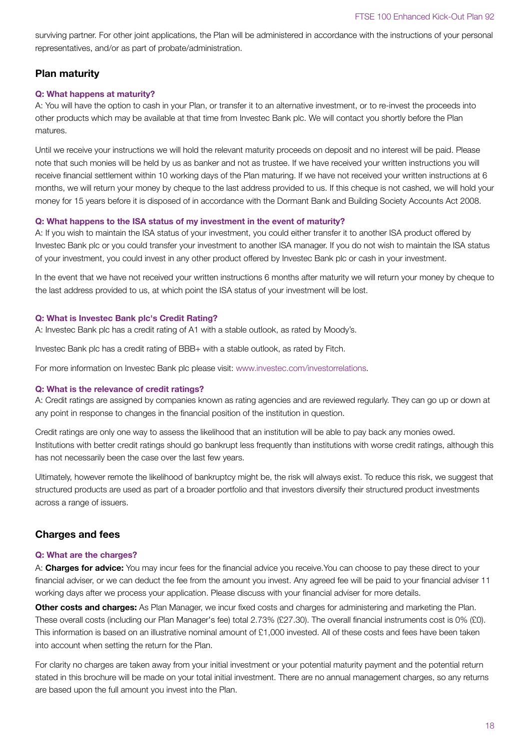surviving partner. For other joint applications, the Plan will be administered in accordance with the instructions of your personal representatives, and/or as part of probate/administration.

# **Plan maturity**

## **Q: What happens at maturity?**

A: You will have the option to cash in your Plan, or transfer it to an alternative investment, or to re-invest the proceeds into other products which may be available at that time from Investec Bank plc. We will contact you shortly before the Plan matures.

Until we receive your instructions we will hold the relevant maturity proceeds on deposit and no interest will be paid. Please note that such monies will be held by us as banker and not as trustee. If we have received your written instructions you will receive financial settlement within 10 working days of the Plan maturing. If we have not received your written instructions at 6 months, we will return your money by cheque to the last address provided to us. If this cheque is not cashed, we will hold your money for 15 years before it is disposed of in accordance with the Dormant Bank and Building Society Accounts Act 2008.

#### **Q: What happens to the ISA status of my investment in the event of maturity?**

A: If you wish to maintain the ISA status of your investment, you could either transfer it to another ISA product offered by Investec Bank plc or you could transfer your investment to another ISA manager. If you do not wish to maintain the ISA status of your investment, you could invest in any other product offered by Investec Bank plc or cash in your investment.

In the event that we have not received your written instructions 6 months after maturity we will return your money by cheque to the last address provided to us, at which point the ISA status of your investment will be lost.

## **Q: What is Investec Bank plc's Credit Rating?**

A: Investec Bank plc has a credit rating of A1 with a stable outlook, as rated by Moody's.

Investec Bank plc has a credit rating of BBB+ with a stable outlook, as rated by Fitch.

For more information on Investec Bank plc please visit: www.investec.com/investorrelations.

#### **Q: What is the relevance of credit ratings?**

A: Credit ratings are assigned by companies known as rating agencies and are reviewed regularly. They can go up or down at any point in response to changes in the financial position of the institution in question.

Credit ratings are only one way to assess the likelihood that an institution will be able to pay back any monies owed. Institutions with better credit ratings should go bankrupt less frequently than institutions with worse credit ratings, although this has not necessarily been the case over the last few years.

Ultimately, however remote the likelihood of bankruptcy might be, the risk will always exist. To reduce this risk, we suggest that structured products are used as part of a broader portfolio and that investors diversify their structured product investments across a range of issuers.

# **Charges and fees**

## **Q: What are the charges?**

A: **Charges for advice:** You may incur fees for the financial advice you receive.You can choose to pay these direct to your financial adviser, or we can deduct the fee from the amount you invest. Any agreed fee will be paid to your financial adviser 11 working days after we process your application. Please discuss with your financial adviser for more details.

**Other costs and charges:** As Plan Manager, we incur fixed costs and charges for administering and marketing the Plan. These overall costs (including our Plan Manager's fee) total 2.73% (£27.30). The overall financial instruments cost is 0% (£0). This information is based on an illustrative nominal amount of £1,000 invested. All of these costs and fees have been taken into account when setting the return for the Plan.

For clarity no charges are taken away from your initial investment or your potential maturity payment and the potential return stated in this brochure will be made on your total initial investment. There are no annual management charges, so any returns are based upon the full amount you invest into the Plan.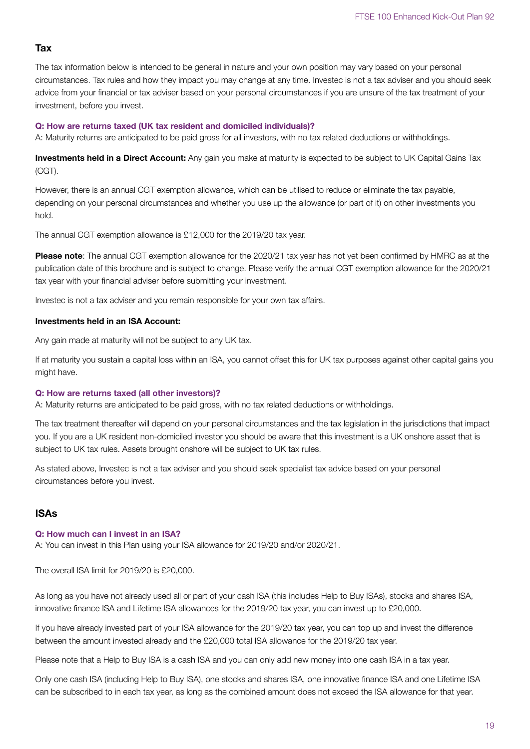#### **Tax**

The tax information below is intended to be general in nature and your own position may vary based on your personal circumstances. Tax rules and how they impact you may change at any time. Investec is not a tax adviser and you should seek advice from your financial or tax adviser based on your personal circumstances if you are unsure of the tax treatment of your investment, before you invest.

#### **Q: How are returns taxed (UK tax resident and domiciled individuals)?**

A: Maturity returns are anticipated to be paid gross for all investors, with no tax related deductions or withholdings.

**Investments held in a Direct Account:** Any gain you make at maturity is expected to be subject to UK Capital Gains Tax (CGT).

However, there is an annual CGT exemption allowance, which can be utilised to reduce or eliminate the tax payable, depending on your personal circumstances and whether you use up the allowance (or part of it) on other investments you hold.

The annual CGT exemption allowance is £12,000 for the 2019/20 tax year.

**Please note**: The annual CGT exemption allowance for the 2020/21 tax year has not yet been confirmed by HMRC as at the publication date of this brochure and is subject to change. Please verify the annual CGT exemption allowance for the 2020/21 tax year with your financial adviser before submitting your investment.

Investec is not a tax adviser and you remain responsible for your own tax affairs.

#### **Investments held in an ISA Account:**

Any gain made at maturity will not be subject to any UK tax.

If at maturity you sustain a capital loss within an ISA, you cannot offset this for UK tax purposes against other capital gains you might have.

#### **Q: How are returns taxed (all other investors)?**

A: Maturity returns are anticipated to be paid gross, with no tax related deductions or withholdings.

The tax treatment thereafter will depend on your personal circumstances and the tax legislation in the jurisdictions that impact you. If you are a UK resident non-domiciled investor you should be aware that this investment is a UK onshore asset that is subject to UK tax rules. Assets brought onshore will be subject to UK tax rules.

As stated above, Investec is not a tax adviser and you should seek specialist tax advice based on your personal circumstances before you invest.

# **ISAs**

#### **Q: How much can I invest in an ISA?**

A: You can invest in this Plan using your ISA allowance for 2019/20 and/or 2020/21.

The overall ISA limit for 2019/20 is £20,000.

As long as you have not already used all or part of your cash ISA (this includes Help to Buy ISAs), stocks and shares ISA, innovative finance ISA and Lifetime ISA allowances for the 2019/20 tax year, you can invest up to £20,000.

If you have already invested part of your ISA allowance for the 2019/20 tax year, you can top up and invest the difference between the amount invested already and the £20,000 total ISA allowance for the 2019/20 tax year.

Please note that a Help to Buy ISA is a cash ISA and you can only add new money into one cash ISA in a tax year.

Only one cash ISA (including Help to Buy ISA), one stocks and shares ISA, one innovative finance ISA and one Lifetime ISA can be subscribed to in each tax year, as long as the combined amount does not exceed the ISA allowance for that year.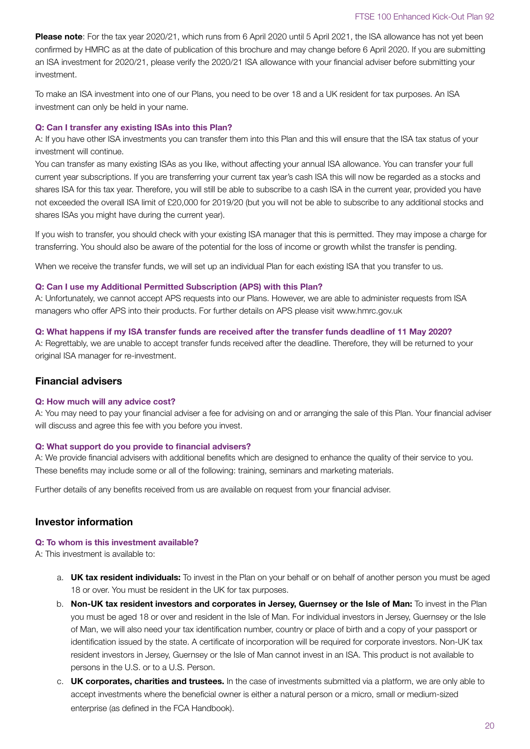**Please note**: For the tax year 2020/21, which runs from 6 April 2020 until 5 April 2021, the ISA allowance has not yet been confirmed by HMRC as at the date of publication of this brochure and may change before 6 April 2020. If you are submitting an ISA investment for 2020/21, please verify the 2020/21 ISA allowance with your financial adviser before submitting your investment.

To make an ISA investment into one of our Plans, you need to be over 18 and a UK resident for tax purposes. An ISA investment can only be held in your name.

#### **Q: Can I transfer any existing ISAs into this Plan?**

A: If you have other ISA investments you can transfer them into this Plan and this will ensure that the ISA tax status of your investment will continue.

You can transfer as many existing ISAs as you like, without affecting your annual ISA allowance. You can transfer your full current year subscriptions. If you are transferring your current tax year's cash ISA this will now be regarded as a stocks and shares ISA for this tax year. Therefore, you will still be able to subscribe to a cash ISA in the current year, provided you have not exceeded the overall ISA limit of £20,000 for 2019/20 (but you will not be able to subscribe to any additional stocks and shares ISAs you might have during the current year).

If you wish to transfer, you should check with your existing ISA manager that this is permitted. They may impose a charge for transferring. You should also be aware of the potential for the loss of income or growth whilst the transfer is pending.

When we receive the transfer funds, we will set up an individual Plan for each existing ISA that you transfer to us.

#### **Q: Can I use my Additional Permitted Subscription (APS) with this Plan?**

A: Unfortunately, we cannot accept APS requests into our Plans. However, we are able to administer requests from ISA managers who offer APS into their products. For further details on APS please visit www.hmrc.gov.uk

#### **Q: What happens if my ISA transfer funds are received after the transfer funds deadline of 11 May 2020?**

A: Regrettably, we are unable to accept transfer funds received after the deadline. Therefore, they will be returned to your original ISA manager for re-investment.

## **Financial advisers**

#### **Q: How much will any advice cost?**

A: You may need to pay your financial adviser a fee for advising on and or arranging the sale of this Plan. Your financial adviser will discuss and agree this fee with you before you invest.

#### **Q: What support do you provide to financial advisers?**

A: We provide financial advisers with additional benefits which are designed to enhance the quality of their service to you. These benefits may include some or all of the following: training, seminars and marketing materials.

Further details of any benefits received from us are available on request from your financial adviser.

# **Investor information**

#### **Q: To whom is this investment available?**

A: This investment is available to:

- a. **UK tax resident individuals:** To invest in the Plan on your behalf or on behalf of another person you must be aged 18 or over. You must be resident in the UK for tax purposes.
- b. **Non-UK tax resident investors and corporates in Jersey, Guernsey or the Isle of Man:** To invest in the Plan you must be aged 18 or over and resident in the Isle of Man. For individual investors in Jersey, Guernsey or the Isle of Man, we will also need your tax identification number, country or place of birth and a copy of your passport or identification issued by the state. A certificate of incorporation will be required for corporate investors. Non-UK tax resident investors in Jersey, Guernsey or the Isle of Man cannot invest in an ISA. This product is not available to persons in the U.S. or to a U.S. Person.
- c. **UK corporates, charities and trustees.** In the case of investments submitted via a platform, we are only able to accept investments where the beneficial owner is either a natural person or a micro, small or medium-sized enterprise (as defined in the FCA Handbook).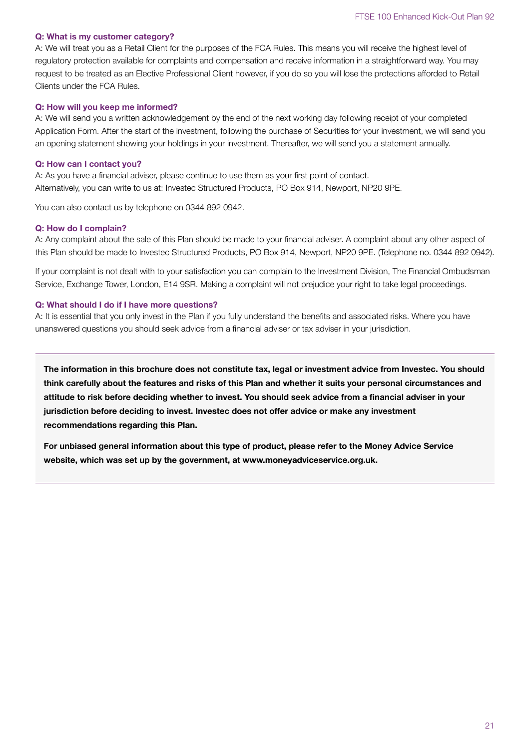#### **Q: What is my customer category?**

A: We will treat you as a Retail Client for the purposes of the FCA Rules. This means you will receive the highest level of regulatory protection available for complaints and compensation and receive information in a straightforward way. You may request to be treated as an Elective Professional Client however, if you do so you will lose the protections afforded to Retail Clients under the FCA Rules.

#### **Q: How will you keep me informed?**

A: We will send you a written acknowledgement by the end of the next working day following receipt of your completed Application Form. After the start of the investment, following the purchase of Securities for your investment, we will send you an opening statement showing your holdings in your investment. Thereafter, we will send you a statement annually.

#### **Q: How can I contact you?**

A: As you have a financial adviser, please continue to use them as your first point of contact. Alternatively, you can write to us at: Investec Structured Products, PO Box 914, Newport, NP20 9PE.

You can also contact us by telephone on 0344 892 0942.

#### **Q: How do I complain?**

A: Any complaint about the sale of this Plan should be made to your financial adviser. A complaint about any other aspect of this Plan should be made to Investec Structured Products, PO Box 914, Newport, NP20 9PE. (Telephone no. 0344 892 0942).

If your complaint is not dealt with to your satisfaction you can complain to the Investment Division, The Financial Ombudsman Service, Exchange Tower, London, E14 9SR. Making a complaint will not prejudice your right to take legal proceedings.

#### **Q: What should I do if I have more questions?**

A: It is essential that you only invest in the Plan if you fully understand the benefits and associated risks. Where you have unanswered questions you should seek advice from a financial adviser or tax adviser in your jurisdiction.

**The information in this brochure does not constitute tax, legal or investment advice from Investec. You should think carefully about the features and risks of this Plan and whether it suits your personal circumstances and attitude to risk before deciding whether to invest. You should seek advice from a financial adviser in your jurisdiction before deciding to invest. Investec does not offer advice or make any investment recommendations regarding this Plan.**

**For unbiased general information about this type of product, please refer to the Money Advice Service website, which was set up by the government, at www.moneyadviceservice.org.uk.**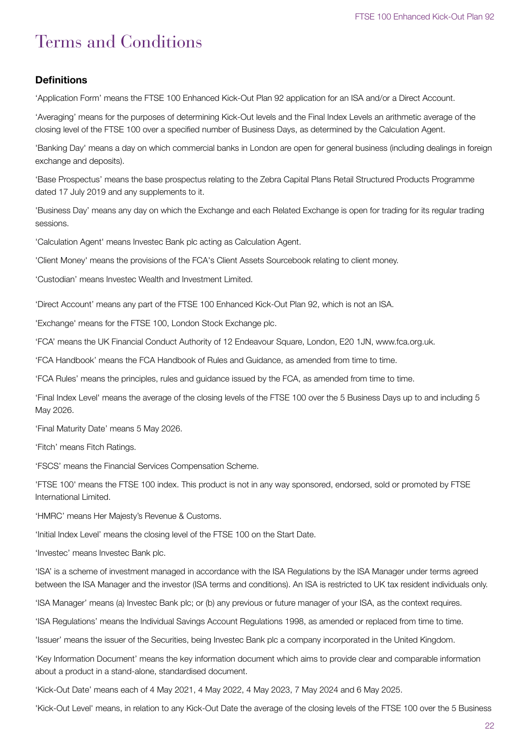# Terms and Conditions

# **Definitions**

'Application Form' means the FTSE 100 Enhanced Kick-Out Plan 92 application for an ISA and/or a Direct Account.

'Averaging' means for the purposes of determining Kick-Out levels and the Final Index Levels an arithmetic average of the closing level of the FTSE 100 over a specified number of Business Days, as determined by the Calculation Agent.

'Banking Day' means a day on which commercial banks in London are open for general business (including dealings in foreign exchange and deposits).

'Base Prospectus' means the base prospectus relating to the Zebra Capital Plans Retail Structured Products Programme dated 17 July 2019 and any supplements to it.

'Business Day' means any day on which the Exchange and each Related Exchange is open for trading for its regular trading sessions.

'Calculation Agent' means Investec Bank plc acting as Calculation Agent.

'Client Money' means the provisions of the FCA's Client Assets Sourcebook relating to client money.

'Custodian' means Investec Wealth and Investment Limited.

'Direct Account' means any part of the FTSE 100 Enhanced Kick-Out Plan 92, which is not an ISA.

'Exchange' means for the FTSE 100, London Stock Exchange plc.

'FCA' means the UK Financial Conduct Authority of 12 Endeavour Square, London, E20 1JN, www.fca.org.uk.

'FCA Handbook' means the FCA Handbook of Rules and Guidance, as amended from time to time.

'FCA Rules' means the principles, rules and guidance issued by the FCA, as amended from time to time.

'Final Index Level' means the average of the closing levels of the FTSE 100 over the 5 Business Days up to and including 5 May 2026.

'Final Maturity Date' means 5 May 2026.

'Fitch' means Fitch Ratings.

'FSCS' means the Financial Services Compensation Scheme.

'FTSE 100' means the FTSE 100 index. This product is not in any way sponsored, endorsed, sold or promoted by FTSE International Limited.

'HMRC' means Her Majesty's Revenue & Customs.

'Initial Index Level' means the closing level of the FTSE 100 on the Start Date.

'Investec' means Investec Bank plc.

'ISA' is a scheme of investment managed in accordance with the ISA Regulations by the ISA Manager under terms agreed between the ISA Manager and the investor (ISA terms and conditions). An ISA is restricted to UK tax resident individuals only.

'ISA Manager' means (a) Investec Bank plc; or (b) any previous or future manager of your ISA, as the context requires.

'ISA Regulations' means the Individual Savings Account Regulations 1998, as amended or replaced from time to time.

'Issuer' means the issuer of the Securities, being Investec Bank plc a company incorporated in the United Kingdom.

'Key Information Document' means the key information document which aims to provide clear and comparable information about a product in a stand-alone, standardised document.

'Kick-Out Date' means each of 4 May 2021, 4 May 2022, 4 May 2023, 7 May 2024 and 6 May 2025.

'Kick-Out Level' means, in relation to any Kick-Out Date the average of the closing levels of the FTSE 100 over the 5 Business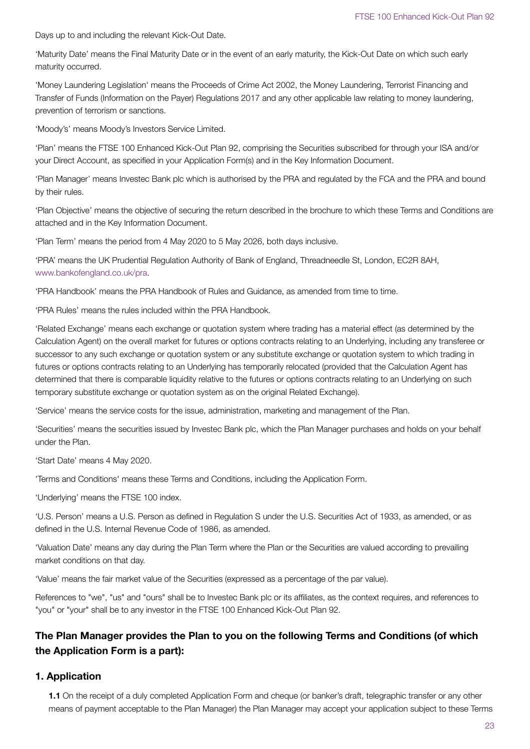Days up to and including the relevant Kick-Out Date.

'Maturity Date' means the Final Maturity Date or in the event of an early maturity, the Kick-Out Date on which such early maturity occurred.

'Money Laundering Legislation' means the Proceeds of Crime Act 2002, the Money Laundering, Terrorist Financing and Transfer of Funds (Information on the Payer) Regulations 2017 and any other applicable law relating to money laundering, prevention of terrorism or sanctions.

'Moody's' means Moody's Investors Service Limited.

'Plan' means the FTSE 100 Enhanced Kick-Out Plan 92, comprising the Securities subscribed for through your ISA and/or your Direct Account, as specified in your Application Form(s) and in the Key Information Document.

'Plan Manager' means Investec Bank plc which is authorised by the PRA and regulated by the FCA and the PRA and bound by their rules.

'Plan Objective' means the objective of securing the return described in the brochure to which these Terms and Conditions are attached and in the Key Information Document.

'Plan Term' means the period from 4 May 2020 to 5 May 2026, both days inclusive.

'PRA' means the UK Prudential Regulation Authority of Bank of England, Threadneedle St, London, EC2R 8AH, www.bankofengland.co.uk/pra.

'PRA Handbook' means the PRA Handbook of Rules and Guidance, as amended from time to time.

'PRA Rules' means the rules included within the PRA Handbook.

'Related Exchange' means each exchange or quotation system where trading has a material effect (as determined by the Calculation Agent) on the overall market for futures or options contracts relating to an Underlying, including any transferee or successor to any such exchange or quotation system or any substitute exchange or quotation system to which trading in futures or options contracts relating to an Underlying has temporarily relocated (provided that the Calculation Agent has determined that there is comparable liquidity relative to the futures or options contracts relating to an Underlying on such temporary substitute exchange or quotation system as on the original Related Exchange).

'Service' means the service costs for the issue, administration, marketing and management of the Plan.

'Securities' means the securities issued by Investec Bank plc, which the Plan Manager purchases and holds on your behalf under the Plan.

'Start Date' means 4 May 2020.

'Terms and Conditions' means these Terms and Conditions, including the Application Form.

'Underlying' means the FTSE 100 index.

'U.S. Person' means a U.S. Person as defined in Regulation S under the U.S. Securities Act of 1933, as amended, or as defined in the U.S. Internal Revenue Code of 1986, as amended.

'Valuation Date' means any day during the Plan Term where the Plan or the Securities are valued according to prevailing market conditions on that day.

'Value' means the fair market value of the Securities (expressed as a percentage of the par value).

References to "we", "us" and "ours" shall be to Investec Bank plc or its affiliates, as the context requires, and references to "you" or "your" shall be to any investor in the FTSE 100 Enhanced Kick-Out Plan 92.

# **The Plan Manager provides the Plan to you on the following Terms and Conditions (of which the Application Form is a part):**

# **1. Application**

**1.1** On the receipt of a duly completed Application Form and cheque (or banker's draft, telegraphic transfer or any other means of payment acceptable to the Plan Manager) the Plan Manager may accept your application subject to these Terms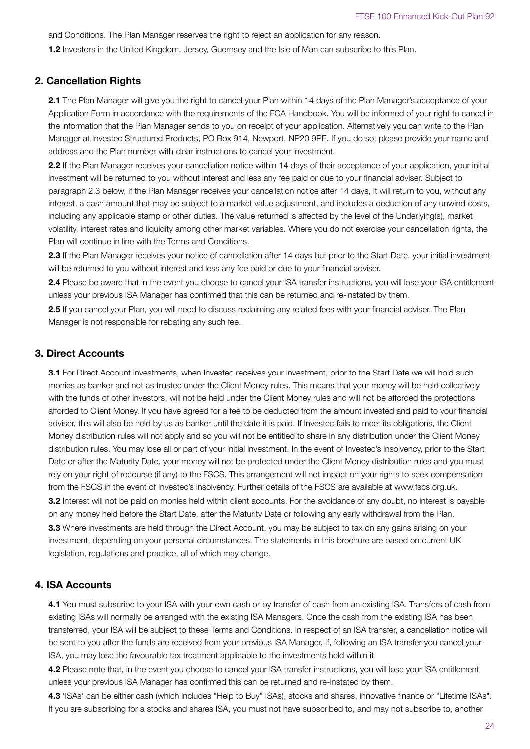and Conditions. The Plan Manager reserves the right to reject an application for any reason.

**1.2** Investors in the United Kingdom, Jersey, Guernsey and the Isle of Man can subscribe to this Plan.

# **2. Cancellation Rights**

**2.1** The Plan Manager will give you the right to cancel your Plan within 14 days of the Plan Manager's acceptance of your Application Form in accordance with the requirements of the FCA Handbook. You will be informed of your right to cancel in the information that the Plan Manager sends to you on receipt of your application. Alternatively you can write to the Plan Manager at Investec Structured Products, PO Box 914, Newport, NP20 9PE. If you do so, please provide your name and address and the Plan number with clear instructions to cancel your investment.

**2.2** If the Plan Manager receives your cancellation notice within 14 days of their acceptance of your application, your initial investment will be returned to you without interest and less any fee paid or due to your financial adviser. Subject to paragraph 2.3 below, if the Plan Manager receives your cancellation notice after 14 days, it will return to you, without any interest, a cash amount that may be subject to a market value adjustment, and includes a deduction of any unwind costs, including any applicable stamp or other duties. The value returned is affected by the level of the Underlying(s), market volatility, interest rates and liquidity among other market variables. Where you do not exercise your cancellation rights, the Plan will continue in line with the Terms and Conditions.

**2.3** If the Plan Manager receives your notice of cancellation after 14 days but prior to the Start Date, your initial investment will be returned to you without interest and less any fee paid or due to your financial adviser.

**2.4** Please be aware that in the event you choose to cancel your ISA transfer instructions, you will lose your ISA entitlement unless your previous ISA Manager has confirmed that this can be returned and re-instated by them.

**2.5** If you cancel your Plan, you will need to discuss reclaiming any related fees with your financial adviser. The Plan Manager is not responsible for rebating any such fee.

## **3. Direct Accounts**

**3.1** For Direct Account investments, when Investec receives your investment, prior to the Start Date we will hold such monies as banker and not as trustee under the Client Money rules. This means that your money will be held collectively with the funds of other investors, will not be held under the Client Money rules and will not be afforded the protections afforded to Client Money. If you have agreed for a fee to be deducted from the amount invested and paid to your financial adviser, this will also be held by us as banker until the date it is paid. If Investec fails to meet its obligations, the Client Money distribution rules will not apply and so you will not be entitled to share in any distribution under the Client Money distribution rules. You may lose all or part of your initial investment. In the event of Investec's insolvency, prior to the Start Date or after the Maturity Date, your money will not be protected under the Client Money distribution rules and you must rely on your right of recourse (if any) to the FSCS. This arrangement will not impact on your rights to seek compensation from the FSCS in the event of Investec's insolvency. Further details of the FSCS are available at www.fscs.org.uk. **3.2** Interest will not be paid on monies held within client accounts. For the avoidance of any doubt, no interest is payable on any money held before the Start Date, after the Maturity Date or following any early withdrawal from the Plan. **3.3** Where investments are held through the Direct Account, you may be subject to tax on any gains arising on your investment, depending on your personal circumstances. The statements in this brochure are based on current UK legislation, regulations and practice, all of which may change.

# **4. ISA Accounts**

**4.1** You must subscribe to your ISA with your own cash or by transfer of cash from an existing ISA. Transfers of cash from existing ISAs will normally be arranged with the existing ISA Managers. Once the cash from the existing ISA has been transferred, your ISA will be subject to these Terms and Conditions. In respect of an ISA transfer, a cancellation notice will be sent to you after the funds are received from your previous ISA Manager. If, following an ISA transfer you cancel your ISA, you may lose the favourable tax treatment applicable to the investments held within it.

**4.2** Please note that, in the event you choose to cancel your ISA transfer instructions, you will lose your ISA entitlement unless your previous ISA Manager has confirmed this can be returned and re-instated by them.

**4.3** 'ISAs' can be either cash (which includes "Help to Buy" ISAs), stocks and shares, innovative finance or "Lifetime ISAs". If you are subscribing for a stocks and shares ISA, you must not have subscribed to, and may not subscribe to, another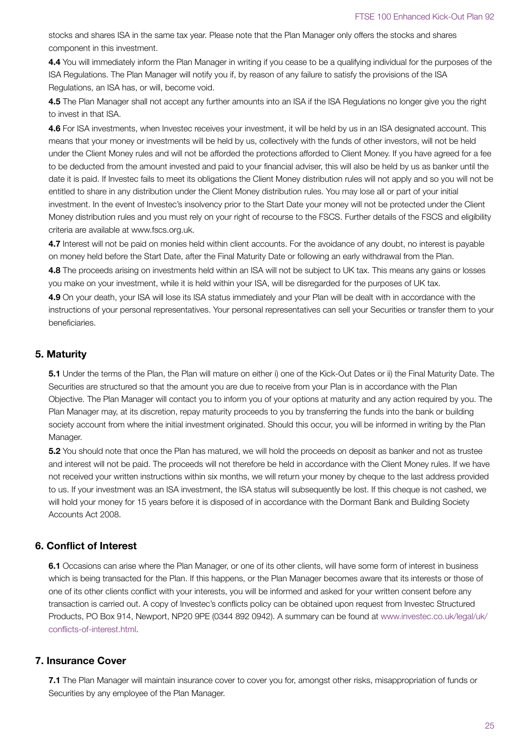stocks and shares ISA in the same tax year. Please note that the Plan Manager only offers the stocks and shares component in this investment.

**4.4** You will immediately inform the Plan Manager in writing if you cease to be a qualifying individual for the purposes of the ISA Regulations. The Plan Manager will notify you if, by reason of any failure to satisfy the provisions of the ISA Regulations, an ISA has, or will, become void.

**4.5** The Plan Manager shall not accept any further amounts into an ISA if the ISA Regulations no longer give you the right to invest in that ISA.

**4.6** For ISA investments, when Investec receives your investment, it will be held by us in an ISA designated account. This means that your money or investments will be held by us, collectively with the funds of other investors, will not be held under the Client Money rules and will not be afforded the protections afforded to Client Money. If you have agreed for a fee to be deducted from the amount invested and paid to your financial adviser, this will also be held by us as banker until the date it is paid. If Investec fails to meet its obligations the Client Money distribution rules will not apply and so you will not be entitled to share in any distribution under the Client Money distribution rules. You may lose all or part of your initial investment. In the event of Investec's insolvency prior to the Start Date your money will not be protected under the Client Money distribution rules and you must rely on your right of recourse to the FSCS. Further details of the FSCS and eligibility criteria are available at www.fscs.org.uk.

**4.7** Interest will not be paid on monies held within client accounts. For the avoidance of any doubt, no interest is payable on money held before the Start Date, after the Final Maturity Date or following an early withdrawal from the Plan.

**4.8** The proceeds arising on investments held within an ISA will not be subject to UK tax. This means any gains or losses you make on your investment, while it is held within your ISA, will be disregarded for the purposes of UK tax.

**4.9** On your death, your ISA will lose its ISA status immediately and your Plan will be dealt with in accordance with the instructions of your personal representatives. Your personal representatives can sell your Securities or transfer them to your beneficiaries.

# **5. Maturity**

**5.1** Under the terms of the Plan, the Plan will mature on either i) one of the Kick-Out Dates or ii) the Final Maturity Date. The Securities are structured so that the amount you are due to receive from your Plan is in accordance with the Plan Objective. The Plan Manager will contact you to inform you of your options at maturity and any action required by you. The Plan Manager may, at its discretion, repay maturity proceeds to you by transferring the funds into the bank or building society account from where the initial investment originated. Should this occur, you will be informed in writing by the Plan Manager.

**5.2** You should note that once the Plan has matured, we will hold the proceeds on deposit as banker and not as trustee and interest will not be paid. The proceeds will not therefore be held in accordance with the Client Money rules. If we have not received your written instructions within six months, we will return your money by cheque to the last address provided to us. If your investment was an ISA investment, the ISA status will subsequently be lost. If this cheque is not cashed, we will hold your money for 15 years before it is disposed of in accordance with the Dormant Bank and Building Society Accounts Act 2008.

# **6. Conflict of Interest**

**6.1** Occasions can arise where the Plan Manager, or one of its other clients, will have some form of interest in business which is being transacted for the Plan. If this happens, or the Plan Manager becomes aware that its interests or those of one of its other clients conflict with your interests, you will be informed and asked for your written consent before any transaction is carried out. A copy of Investec's conflicts policy can be obtained upon request from Investec Structured Products, PO Box 914, Newport, NP20 9PE (0344 892 0942). A summary can be found at www.investec.co.uk/legal/uk/ conflicts-of-interest.html.

# **7. Insurance Cover**

**7.1** The Plan Manager will maintain insurance cover to cover you for, amongst other risks, misappropriation of funds or Securities by any employee of the Plan Manager.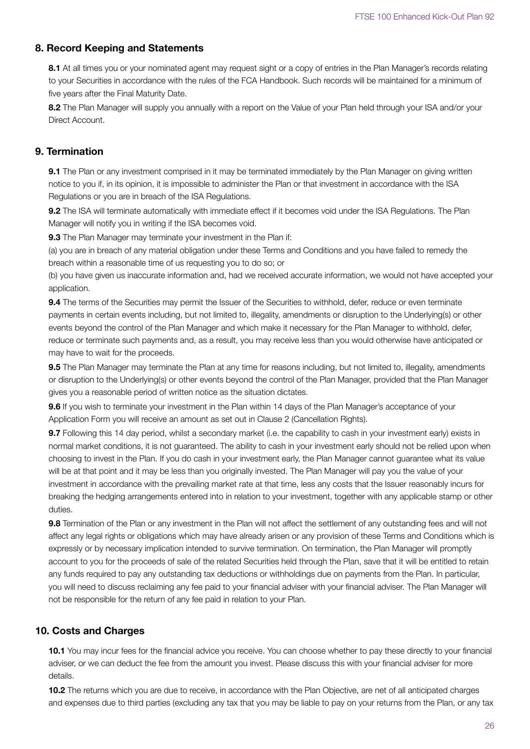# **8. Record Keeping and Statements**

8.1 At all times you or your nominated agent may request sight or a copy of entries in the Plan Manager's records relating to your Securities in accordance with the rules of the FCA Handbook. Such records will be maintained for a minimum of five years after the Final Maturity Date.

**8.2** The Plan Manager will supply you annually with a report on the Value of your Plan held through your ISA and/or your Direct Account.

# **9. Termination**

**9.1** The Plan or any investment comprised in it may be terminated immediately by the Plan Manager on giving written notice to you if, in its opinion, it is impossible to administer the Plan or that investment in accordance with the ISA Regulations or you are in breach of the ISA Regulations.

**9.2** The ISA will terminate automatically with immediate effect if it becomes void under the ISA Regulations. The Plan Manager will notify you in writing if the ISA becomes void.

**9.3** The Plan Manager may terminate your investment in the Plan if:

(a) you are in breach of any material obligation under these Terms and Conditions and you have failed to remedy the breach within a reasonable time of us requesting you to do so; or

(b) you have given us inaccurate information and, had we received accurate information, we would not have accepted your application.

**9.4** The terms of the Securities may permit the Issuer of the Securities to withhold, defer, reduce or even terminate payments in certain events including, but not limited to, illegality, amendments or disruption to the Underlying(s) or other events beyond the control of the Plan Manager and which make it necessary for the Plan Manager to withhold, defer, reduce or terminate such payments and, as a result, you may receive less than you would otherwise have anticipated or may have to wait for the proceeds.

**9.5** The Plan Manager may terminate the Plan at any time for reasons including, but not limited to, illegality, amendments or disruption to the Underlying(s) or other events beyond the control of the Plan Manager, provided that the Plan Manager gives you a reasonable period of written notice as the situation dictates.

**9.6** If you wish to terminate your investment in the Plan within 14 days of the Plan Manager's acceptance of your Application Form you will receive an amount as set out in Clause 2 (Cancellation Rights).

**9.7** Following this 14 day period, whilst a secondary market (i.e. the capability to cash in your investment early) exists in normal market conditions, it is not guaranteed. The ability to cash in your investment early should not be relied upon when choosing to invest in the Plan. If you do cash in your investment early, the Plan Manager cannot guarantee what its value will be at that point and it may be less than you originally invested. The Plan Manager will pay you the value of your investment in accordance with the prevailing market rate at that time, less any costs that the Issuer reasonably incurs for breaking the hedging arrangements entered into in relation to your investment, together with any applicable stamp or other duties.

**9.8** Termination of the Plan or any investment in the Plan will not affect the settlement of any outstanding fees and will not affect any legal rights or obligations which may have already arisen or any provision of these Terms and Conditions which is expressly or by necessary implication intended to survive termination. On termination, the Plan Manager will promptly account to you for the proceeds of sale of the related Securities held through the Plan, save that it will be entitled to retain any funds required to pay any outstanding tax deductions or withholdings due on payments from the Plan. In particular, you will need to discuss reclaiming any fee paid to your financial adviser with your financial adviser. The Plan Manager will not be responsible for the return of any fee paid in relation to your Plan.

## **10. Costs and Charges**

**10.1** You may incur fees for the financial advice you receive. You can choose whether to pay these directly to your financial adviser, or we can deduct the fee from the amount you invest. Please discuss this with your financial adviser for more details.

**10.2** The returns which you are due to receive, in accordance with the Plan Objective, are net of all anticipated charges and expenses due to third parties (excluding any tax that you may be liable to pay on your returns from the Plan, or any tax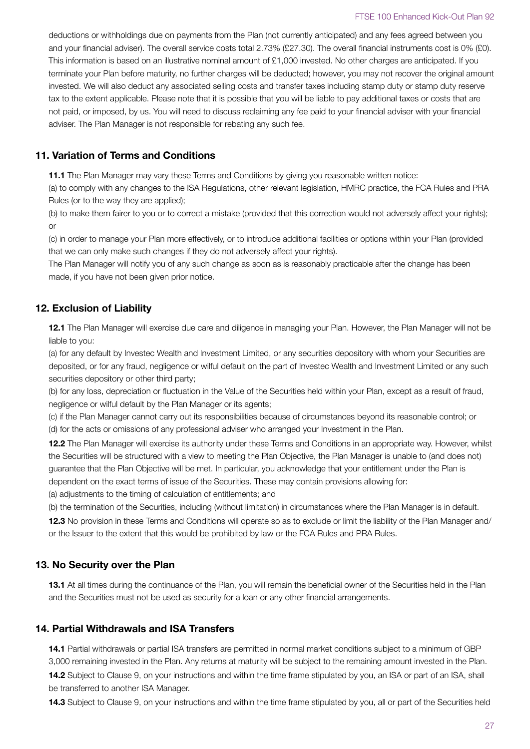deductions or withholdings due on payments from the Plan (not currently anticipated) and any fees agreed between you and your financial adviser). The overall service costs total 2.73% (£27.30). The overall financial instruments cost is 0% (£0). This information is based on an illustrative nominal amount of £1,000 invested. No other charges are anticipated. If you terminate your Plan before maturity, no further charges will be deducted; however, you may not recover the original amount invested. We will also deduct any associated selling costs and transfer taxes including stamp duty or stamp duty reserve tax to the extent applicable. Please note that it is possible that you will be liable to pay additional taxes or costs that are not paid, or imposed, by us. You will need to discuss reclaiming any fee paid to your financial adviser with your financial adviser. The Plan Manager is not responsible for rebating any such fee.

# **11. Variation of Terms and Conditions**

**11.1** The Plan Manager may vary these Terms and Conditions by giving you reasonable written notice:

(a) to comply with any changes to the ISA Regulations, other relevant legislation, HMRC practice, the FCA Rules and PRA Rules (or to the way they are applied);

(b) to make them fairer to you or to correct a mistake (provided that this correction would not adversely affect your rights); or

(c) in order to manage your Plan more effectively, or to introduce additional facilities or options within your Plan (provided that we can only make such changes if they do not adversely affect your rights).

The Plan Manager will notify you of any such change as soon as is reasonably practicable after the change has been made, if you have not been given prior notice.

# **12. Exclusion of Liability**

**12.1** The Plan Manager will exercise due care and diligence in managing your Plan. However, the Plan Manager will not be liable to you:

(a) for any default by Investec Wealth and Investment Limited, or any securities depository with whom your Securities are deposited, or for any fraud, negligence or wilful default on the part of Investec Wealth and Investment Limited or any such securities depository or other third party;

(b) for any loss, depreciation or fluctuation in the Value of the Securities held within your Plan, except as a result of fraud, negligence or wilful default by the Plan Manager or its agents;

(c) if the Plan Manager cannot carry out its responsibilities because of circumstances beyond its reasonable control; or (d) for the acts or omissions of any professional adviser who arranged your Investment in the Plan.

**12.2** The Plan Manager will exercise its authority under these Terms and Conditions in an appropriate way. However, whilst the Securities will be structured with a view to meeting the Plan Objective, the Plan Manager is unable to (and does not) guarantee that the Plan Objective will be met. In particular, you acknowledge that your entitlement under the Plan is dependent on the exact terms of issue of the Securities. These may contain provisions allowing for:

(a) adjustments to the timing of calculation of entitlements; and

(b) the termination of the Securities, including (without limitation) in circumstances where the Plan Manager is in default.

**12.3** No provision in these Terms and Conditions will operate so as to exclude or limit the liability of the Plan Manager and/ or the Issuer to the extent that this would be prohibited by law or the FCA Rules and PRA Rules.

# **13. No Security over the Plan**

**13.1** At all times during the continuance of the Plan, you will remain the beneficial owner of the Securities held in the Plan and the Securities must not be used as security for a loan or any other financial arrangements.

# **14. Partial Withdrawals and ISA Transfers**

**14.1** Partial withdrawals or partial ISA transfers are permitted in normal market conditions subject to a minimum of GBP 3,000 remaining invested in the Plan. Any returns at maturity will be subject to the remaining amount invested in the Plan. **14.2** Subject to Clause 9, on your instructions and within the time frame stipulated by you, an ISA or part of an ISA, shall be transferred to another ISA Manager.

**14.3** Subject to Clause 9, on your instructions and within the time frame stipulated by you, all or part of the Securities held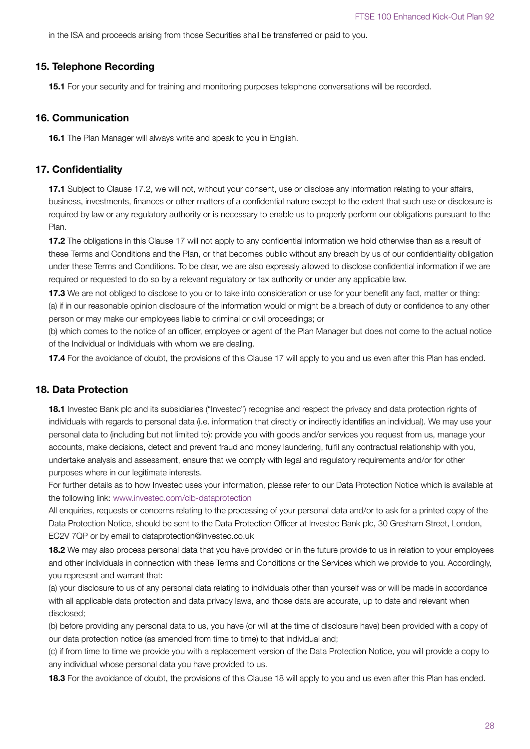in the ISA and proceeds arising from those Securities shall be transferred or paid to you.

#### **15. Telephone Recording**

**15.1** For your security and for training and monitoring purposes telephone conversations will be recorded.

#### **16. Communication**

**16.1** The Plan Manager will always write and speak to you in English.

#### **17. Confidentiality**

**17.1** Subject to Clause 17.2, we will not, without your consent, use or disclose any information relating to your affairs, business, investments, finances or other matters of a confidential nature except to the extent that such use or disclosure is required by law or any regulatory authority or is necessary to enable us to properly perform our obligations pursuant to the Plan.

**17.2** The obligations in this Clause 17 will not apply to any confidential information we hold otherwise than as a result of these Terms and Conditions and the Plan, or that becomes public without any breach by us of our confidentiality obligation under these Terms and Conditions. To be clear, we are also expressly allowed to disclose confidential information if we are required or requested to do so by a relevant regulatory or tax authority or under any applicable law.

**17.3** We are not obliged to disclose to you or to take into consideration or use for your benefit any fact, matter or thing: (a) if in our reasonable opinion disclosure of the information would or might be a breach of duty or confidence to any other person or may make our employees liable to criminal or civil proceedings; or

(b) which comes to the notice of an officer, employee or agent of the Plan Manager but does not come to the actual notice of the Individual or Individuals with whom we are dealing.

**17.4** For the avoidance of doubt, the provisions of this Clause 17 will apply to you and us even after this Plan has ended.

# **18. Data Protection**

**18.1** Investec Bank plc and its subsidiaries ("Investec") recognise and respect the privacy and data protection rights of individuals with regards to personal data (i.e. information that directly or indirectly identifies an individual). We may use your personal data to (including but not limited to): provide you with goods and/or services you request from us, manage your accounts, make decisions, detect and prevent fraud and money laundering, fulfil any contractual relationship with you, undertake analysis and assessment, ensure that we comply with legal and regulatory requirements and/or for other purposes where in our legitimate interests.

For further details as to how Investec uses your information, please refer to our Data Protection Notice which is available at the following link: www.investec.com/cib-dataprotection

All enquiries, requests or concerns relating to the processing of your personal data and/or to ask for a printed copy of the Data Protection Notice, should be sent to the Data Protection Officer at Investec Bank plc, 30 Gresham Street, London, EC2V 7QP or by email to dataprotection@investec.co.uk

**18.2** We may also process personal data that you have provided or in the future provide to us in relation to your employees and other individuals in connection with these Terms and Conditions or the Services which we provide to you. Accordingly, you represent and warrant that:

(a) your disclosure to us of any personal data relating to individuals other than yourself was or will be made in accordance with all applicable data protection and data privacy laws, and those data are accurate, up to date and relevant when disclosed;

(b) before providing any personal data to us, you have (or will at the time of disclosure have) been provided with a copy of our data protection notice (as amended from time to time) to that individual and;

(c) if from time to time we provide you with a replacement version of the Data Protection Notice, you will provide a copy to any individual whose personal data you have provided to us.

**18.3** For the avoidance of doubt, the provisions of this Clause 18 will apply to you and us even after this Plan has ended.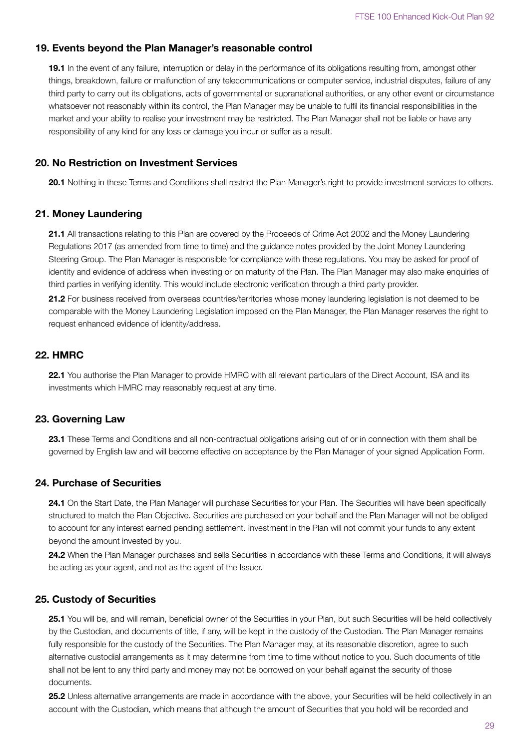# **19. Events beyond the Plan Manager's reasonable control**

**19.1** In the event of any failure, interruption or delay in the performance of its obligations resulting from, amongst other things, breakdown, failure or malfunction of any telecommunications or computer service, industrial disputes, failure of any third party to carry out its obligations, acts of governmental or supranational authorities, or any other event or circumstance whatsoever not reasonably within its control, the Plan Manager may be unable to fulfil its financial responsibilities in the market and your ability to realise your investment may be restricted. The Plan Manager shall not be liable or have any responsibility of any kind for any loss or damage you incur or suffer as a result.

## **20. No Restriction on Investment Services**

**20.1** Nothing in these Terms and Conditions shall restrict the Plan Manager's right to provide investment services to others.

# **21. Money Laundering**

**21.1** All transactions relating to this Plan are covered by the Proceeds of Crime Act 2002 and the Money Laundering Regulations 2017 (as amended from time to time) and the guidance notes provided by the Joint Money Laundering Steering Group. The Plan Manager is responsible for compliance with these regulations. You may be asked for proof of identity and evidence of address when investing or on maturity of the Plan. The Plan Manager may also make enquiries of third parties in verifying identity. This would include electronic verification through a third party provider.

**21.2** For business received from overseas countries/territories whose money laundering legislation is not deemed to be comparable with the Money Laundering Legislation imposed on the Plan Manager, the Plan Manager reserves the right to request enhanced evidence of identity/address.

# **22. HMRC**

22.1 You authorise the Plan Manager to provide HMRC with all relevant particulars of the Direct Account, ISA and its investments which HMRC may reasonably request at any time.

## **23. Governing Law**

**23.1** These Terms and Conditions and all non-contractual obligations arising out of or in connection with them shall be governed by English law and will become effective on acceptance by the Plan Manager of your signed Application Form.

# **24. Purchase of Securities**

24.1 On the Start Date, the Plan Manager will purchase Securities for your Plan. The Securities will have been specifically structured to match the Plan Objective. Securities are purchased on your behalf and the Plan Manager will not be obliged to account for any interest earned pending settlement. Investment in the Plan will not commit your funds to any extent beyond the amount invested by you.

**24.2** When the Plan Manager purchases and sells Securities in accordance with these Terms and Conditions, it will always be acting as your agent, and not as the agent of the Issuer.

## **25. Custody of Securities**

25.1 You will be, and will remain, beneficial owner of the Securities in your Plan, but such Securities will be held collectively by the Custodian, and documents of title, if any, will be kept in the custody of the Custodian. The Plan Manager remains fully responsible for the custody of the Securities. The Plan Manager may, at its reasonable discretion, agree to such alternative custodial arrangements as it may determine from time to time without notice to you. Such documents of title shall not be lent to any third party and money may not be borrowed on your behalf against the security of those documents.

25.2 Unless alternative arrangements are made in accordance with the above, your Securities will be held collectively in an account with the Custodian, which means that although the amount of Securities that you hold will be recorded and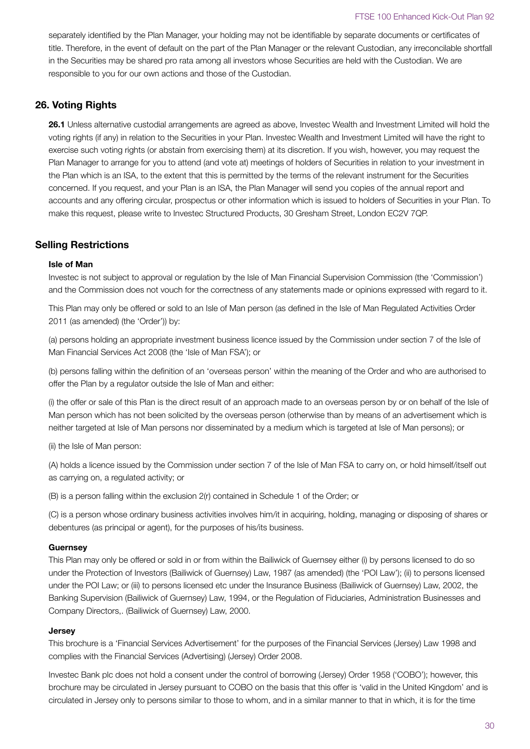separately identified by the Plan Manager, your holding may not be identifiable by separate documents or certificates of title. Therefore, in the event of default on the part of the Plan Manager or the relevant Custodian, any irreconcilable shortfall in the Securities may be shared pro rata among all investors whose Securities are held with the Custodian. We are responsible to you for our own actions and those of the Custodian.

# **26. Voting Rights**

**26.1** Unless alternative custodial arrangements are agreed as above, Investec Wealth and Investment Limited will hold the voting rights (if any) in relation to the Securities in your Plan. Investec Wealth and Investment Limited will have the right to exercise such voting rights (or abstain from exercising them) at its discretion. If you wish, however, you may request the Plan Manager to arrange for you to attend (and vote at) meetings of holders of Securities in relation to your investment in the Plan which is an ISA, to the extent that this is permitted by the terms of the relevant instrument for the Securities concerned. If you request, and your Plan is an ISA, the Plan Manager will send you copies of the annual report and accounts and any offering circular, prospectus or other information which is issued to holders of Securities in your Plan. To make this request, please write to Investec Structured Products, 30 Gresham Street, London EC2V 7QP.

# **Selling Restrictions**

#### **Isle of Man**

Investec is not subject to approval or regulation by the Isle of Man Financial Supervision Commission (the 'Commission') and the Commission does not vouch for the correctness of any statements made or opinions expressed with regard to it.

This Plan may only be offered or sold to an Isle of Man person (as defined in the Isle of Man Regulated Activities Order 2011 (as amended) (the 'Order')) by:

(a) persons holding an appropriate investment business licence issued by the Commission under section 7 of the Isle of Man Financial Services Act 2008 (the 'Isle of Man FSA'); or

(b) persons falling within the definition of an 'overseas person' within the meaning of the Order and who are authorised to offer the Plan by a regulator outside the Isle of Man and either:

(i) the offer or sale of this Plan is the direct result of an approach made to an overseas person by or on behalf of the Isle of Man person which has not been solicited by the overseas person (otherwise than by means of an advertisement which is neither targeted at Isle of Man persons nor disseminated by a medium which is targeted at Isle of Man persons); or

(ii) the Isle of Man person:

(A) holds a licence issued by the Commission under section 7 of the Isle of Man FSA to carry on, or hold himself/itself out as carrying on, a regulated activity; or

(B) is a person falling within the exclusion 2(r) contained in Schedule 1 of the Order; or

(C) is a person whose ordinary business activities involves him/it in acquiring, holding, managing or disposing of shares or debentures (as principal or agent), for the purposes of his/its business.

#### **Guernsey**

This Plan may only be offered or sold in or from within the Bailiwick of Guernsey either (i) by persons licensed to do so under the Protection of Investors (Bailiwick of Guernsey) Law, 1987 (as amended) (the 'POI Law'); (ii) to persons licensed under the POI Law; or (iii) to persons licensed etc under the Insurance Business (Bailiwick of Guernsey) Law, 2002, the Banking Supervision (Bailiwick of Guernsey) Law, 1994, or the Regulation of Fiduciaries, Administration Businesses and Company Directors,. (Bailiwick of Guernsey) Law, 2000.

#### **Jersey**

This brochure is a 'Financial Services Advertisement' for the purposes of the Financial Services (Jersey) Law 1998 and complies with the Financial Services (Advertising) (Jersey) Order 2008.

Investec Bank plc does not hold a consent under the control of borrowing (Jersey) Order 1958 ('COBO'); however, this brochure may be circulated in Jersey pursuant to COBO on the basis that this offer is 'valid in the United Kingdom' and is circulated in Jersey only to persons similar to those to whom, and in a similar manner to that in which, it is for the time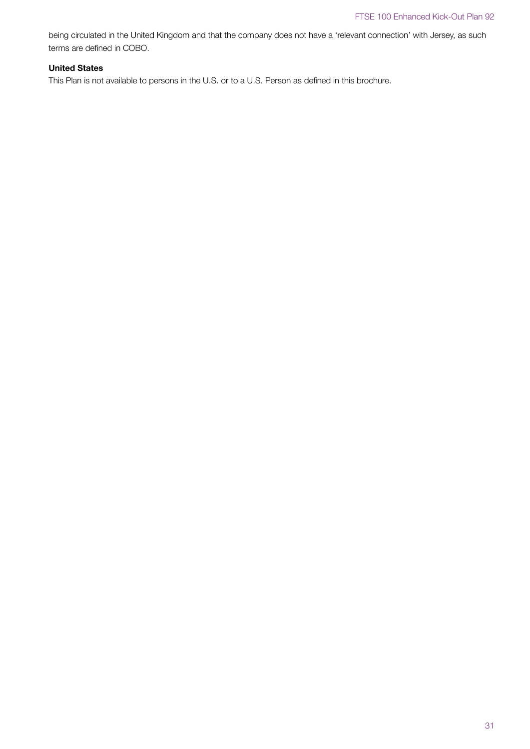being circulated in the United Kingdom and that the company does not have a 'relevant connection' with Jersey, as such terms are defined in COBO.

# **United States**

This Plan is not available to persons in the U.S. or to a U.S. Person as defined in this brochure.